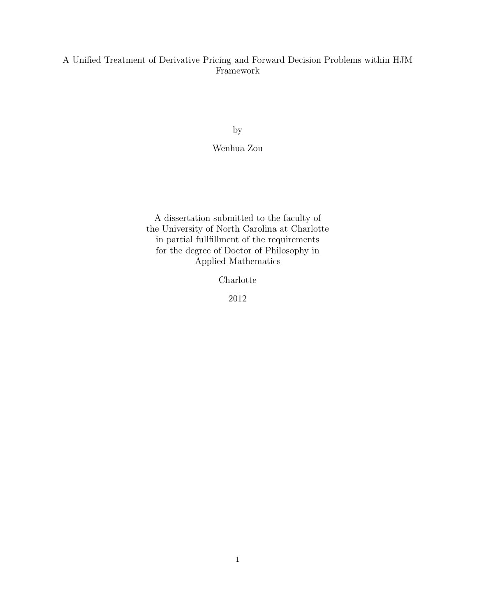### A Unified Treatment of Derivative Pricing and Forward Decision Problems within HJM Framework

by

### Wenhua Zou

A dissertation submitted to the faculty of the University of North Carolina at Charlotte in partial fullfillment of the requirements for the degree of Doctor of Philosophy in Applied Mathematics

Charlotte

2012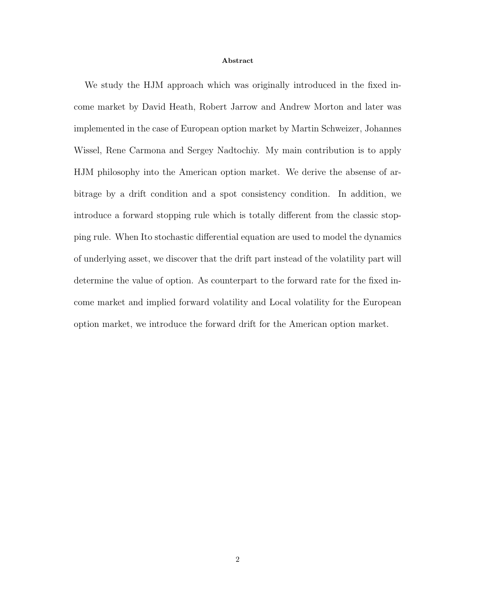#### Abstract

We study the HJM approach which was originally introduced in the fixed income market by David Heath, Robert Jarrow and Andrew Morton and later was implemented in the case of European option market by Martin Schweizer, Johannes Wissel, Rene Carmona and Sergey Nadtochiy. My main contribution is to apply HJM philosophy into the American option market. We derive the absense of arbitrage by a drift condition and a spot consistency condition. In addition, we introduce a forward stopping rule which is totally different from the classic stopping rule. When Ito stochastic differential equation are used to model the dynamics of underlying asset, we discover that the drift part instead of the volatility part will determine the value of option. As counterpart to the forward rate for the fixed income market and implied forward volatility and Local volatility for the European option market, we introduce the forward drift for the American option market.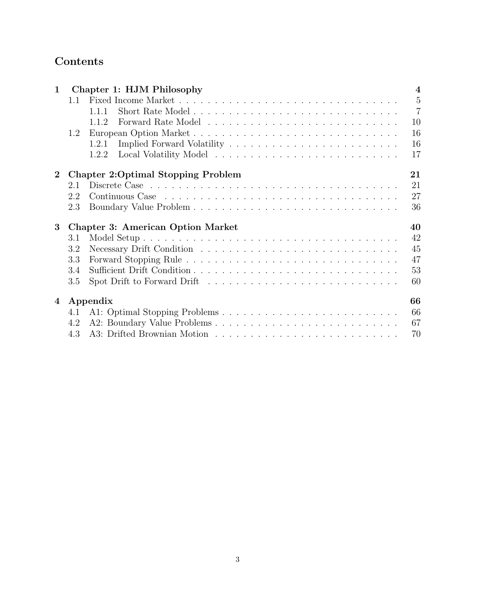# Contents

| $\mathbf{1}$    |     | Chapter 1: HJM Philosophy                 | $\overline{4}$ |
|-----------------|-----|-------------------------------------------|----------------|
|                 | 1.1 |                                           | $\overline{5}$ |
|                 |     | 1.1.1                                     | $\overline{7}$ |
|                 |     | 1.1.2                                     | 10             |
|                 | 1.2 |                                           | 16             |
|                 |     | 1.2.1                                     | 16             |
|                 |     | 1.2.2                                     | 17             |
| $\bf{2}$        |     | <b>Chapter 2:Optimal Stopping Problem</b> | 21             |
|                 | 2.1 |                                           | 21             |
|                 | 2.2 |                                           | 27             |
|                 | 2.3 |                                           | 36             |
| $3\phantom{.0}$ |     |                                           |                |
|                 |     | <b>Chapter 3: American Option Market</b>  | 40             |
|                 | 3.1 |                                           | 42             |
|                 | 3.2 |                                           | 45             |
|                 | 3.3 |                                           | 47             |
|                 | 3.4 |                                           | 53             |
|                 | 3.5 |                                           | 60             |
| 4               |     | Appendix                                  | 66             |
|                 | 4.1 |                                           | 66             |
|                 | 4.2 | A2: Boundary Value Problems               | 67             |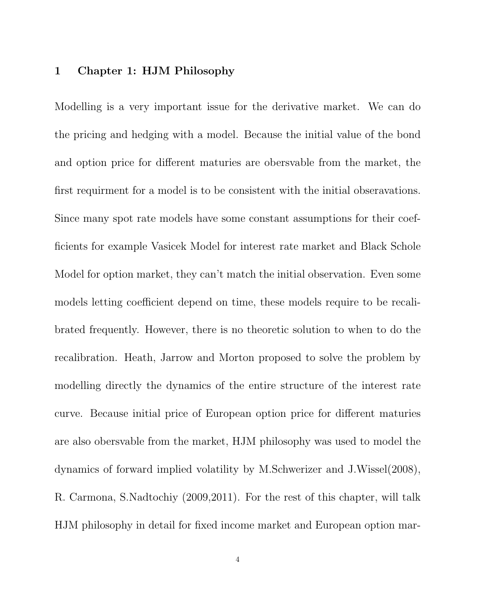# 1 Chapter 1: HJM Philosophy

Modelling is a very important issue for the derivative market. We can do the pricing and hedging with a model. Because the initial value of the bond and option price for different maturies are obersvable from the market, the first requirment for a model is to be consistent with the initial obseravations. Since many spot rate models have some constant assumptions for their coefficients for example Vasicek Model for interest rate market and Black Schole Model for option market, they can't match the initial observation. Even some models letting coefficient depend on time, these models require to be recalibrated frequently. However, there is no theoretic solution to when to do the recalibration. Heath, Jarrow and Morton proposed to solve the problem by modelling directly the dynamics of the entire structure of the interest rate curve. Because initial price of European option price for different maturies are also obersvable from the market, HJM philosophy was used to model the dynamics of forward implied volatility by M.Schwerizer and J.Wissel(2008), R. Carmona, S.Nadtochiy (2009,2011). For the rest of this chapter, will talk HJM philosophy in detail for fixed income market and European option mar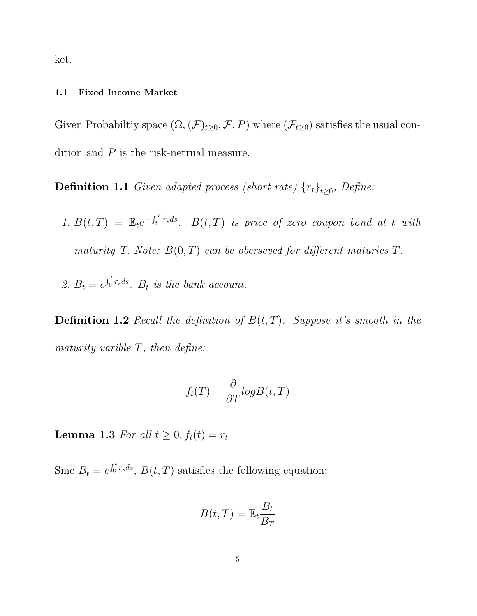ket.

#### 1.1 Fixed Income Market

Given Probabiltiy space  $(\Omega,(\mathcal{F})_{t\geq0},\mathcal{F},P)$  where  $(\mathcal{F}_{t\geq0})$  satisfies the usual condition and P is the risk-netrual measure.

**Definition 1.1** Given adapted process (short rate)  ${r_t}_{t\geq0}$ , Define:

- 1.  $B(t,T) = \mathbb{E}_t e^{-\int_t^T r_s ds}$ .  $B(t,T)$  is price of zero coupon bond at t with maturity T. Note:  $B(0,T)$  can be oberseved for different maturies T.
- 2.  $B_t = e^{\int_0^t r_s ds}$ .  $B_t$  is the bank account.

**Definition 1.2** Recall the definition of  $B(t,T)$ . Suppose it's smooth in the maturity varible  $T$ , then define:

$$
f_t(T) = \frac{\partial}{\partial T} log B(t, T)
$$

Lemma 1.3 For all  $t \geq 0, f_t(t) = r_t$ 

Sine  $B_t = e^{\int_0^t r_s ds}$ ,  $B(t, T)$  satisfies the following equation:

$$
B(t,T) = \mathbb{E}_t \frac{B_t}{B_T}
$$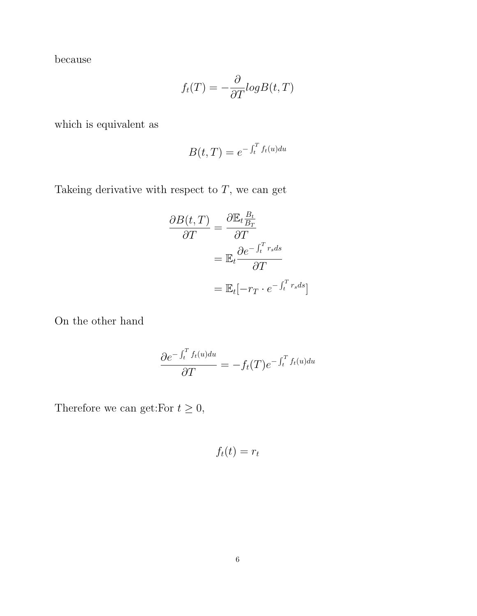because

$$
f_t(T) = -\frac{\partial}{\partial T} log B(t, T)
$$

which is equivalent as

$$
B(t,T) = e^{-\int_t^T f_t(u) du}
$$

Takeing derivative with respect to  $T,$  we can get

$$
\frac{\partial B(t,T)}{\partial T} = \frac{\partial \mathbb{E}_t \frac{B_t}{B_T}}{\partial T}
$$

$$
= \mathbb{E}_t \frac{\partial e^{-\int_t^T r_s ds}}{\partial T}
$$

$$
= \mathbb{E}_t [-r_T \cdot e^{-\int_t^T r_s ds}]
$$

On the other hand

$$
\frac{\partial e^{-\int_t^T f_t(u)du}}{\partial T} = -f_t(T)e^{-\int_t^T f_t(u)du}
$$

Therefore we can get:For  $t \geq 0$ ,

 $f_t(t) = r_t$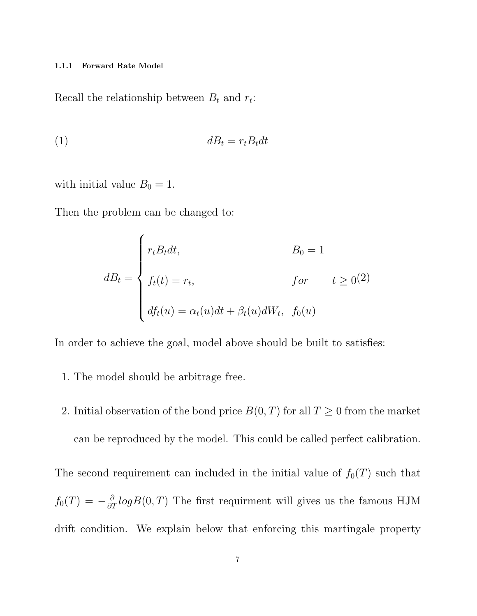#### 1.1.1 Forward Rate Model

Recall the relationship between  $B_t$  and  $r_t$ :

$$
(1) \t\t\t dB_t = r_t B_t dt
$$

with initial value  $B_0 = 1$ .

Then the problem can be changed to:

$$
dB_t = \begin{cases} r_t B_t dt, & B_0 = 1 \\ f_t(t) = r_t, & \text{for } t \ge 0 \end{cases} \quad t \ge 0
$$
  

$$
df_t(u) = \alpha_t(u) dt + \beta_t(u) dW_t, \quad f_0(u)
$$

In order to achieve the goal, model above should be built to satisfies:

- 1. The model should be arbitrage free.
- 2. Initial observation of the bond price  $B(0,T)$  for all  $T \geq 0$  from the market can be reproduced by the model. This could be called perfect calibration.

The second requirement can included in the initial value of  $f_0(T)$  such that  $f_0(T) = -\frac{\partial}{\partial T} log B(0, T)$  The first requirment will gives us the famous HJM drift condition. We explain below that enforcing this martingale property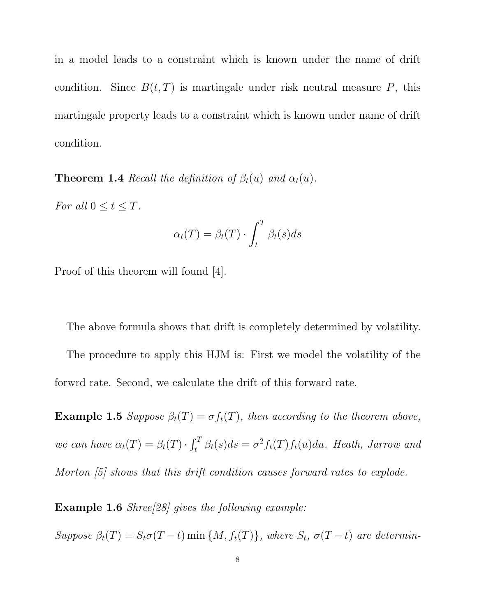in a model leads to a constraint which is known under the name of drift condition. Since  $B(t, T)$  is martingale under risk neutral measure P, this martingale property leads to a constraint which is known under name of drift condition.

**Theorem 1.4** Recall the definition of  $\beta_t(u)$  and  $\alpha_t(u)$ .

For all  $0 \le t \le T$ .

$$
\alpha_t(T) = \beta_t(T) \cdot \int_t^T \beta_t(s) ds
$$

Proof of this theorem will found [4].

The above formula shows that drift is completely determined by volatility. The procedure to apply this HJM is: First we model the volatility of the forwrd rate. Second, we calculate the drift of this forward rate.

**Example 1.5** Suppose  $\beta_t(T) = \sigma f_t(T)$ , then according to the theorem above, we can have  $\alpha_t(T) = \beta_t(T) \cdot \int_t^T \beta_t(s) ds = \sigma^2 f_t(T) f_t(u) du$ . Heath, Jarrow and Morton [5] shows that this drift condition causes forward rates to explode.

Example 1.6 Shree[28] gives the following example:

Suppose  $\beta_t(T) = S_t \sigma(T-t) \min \{M, f_t(T)\},$  where  $S_t$ ,  $\sigma(T-t)$  are determin-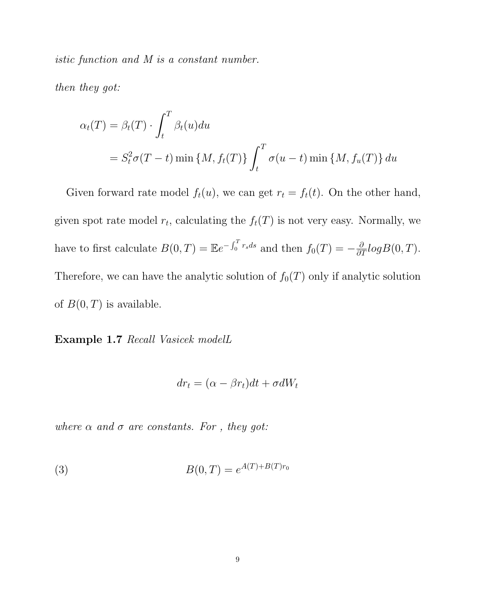istic function and M is a constant number.

then they got:

$$
\alpha_t(T) = \beta_t(T) \cdot \int_t^T \beta_t(u) du
$$
  
=  $S_t^2 \sigma(T - t) \min \{M, f_t(T)\} \int_t^T \sigma(u - t) \min \{M, f_u(T)\} du$ 

Given forward rate model  $f_t(u)$ , we can get  $r_t = f_t(t)$ . On the other hand, given spot rate model  $r_t$ , calculating the  $f_t(T)$  is not very easy. Normally, we have to first calculate  $B(0,T) = \mathbb{E}e^{-\int_0^T r_s ds}$  and then  $f_0(T) = -\frac{\partial}{\partial T}log B(0,T)$ . Therefore, we can have the analytic solution of  $f_0(T)$  only if analytic solution of  $B(0,T)$  is available.

Example 1.7 Recall Vasicek modelL

$$
dr_t = (\alpha - \beta r_t)dt + \sigma dW_t
$$

where  $\alpha$  and  $\sigma$  are constants. For , they got:

(3) 
$$
B(0,T) = e^{A(T) + B(T)r_0}
$$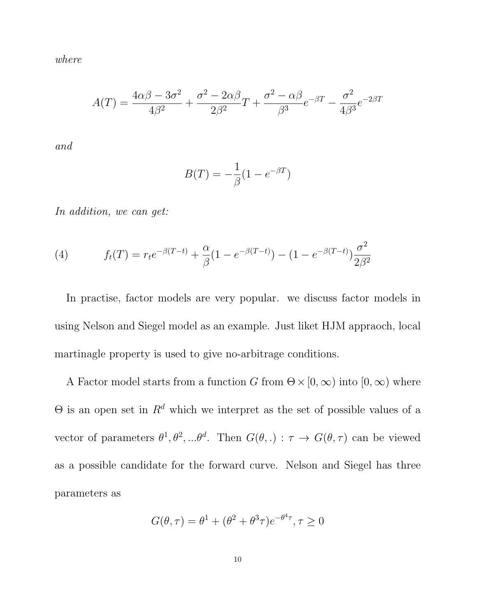where

$$
A(T) = \frac{4\alpha\beta - 3\sigma^2}{4\beta^2} + \frac{\sigma^2 - 2\alpha\beta}{2\beta^2}T + \frac{\sigma^2 - \alpha\beta}{\beta^3}e^{-\beta T} - \frac{\sigma^2}{4\beta^3}e^{-2\beta T}
$$

and

$$
B(T) = -\frac{1}{\beta}(1 - e^{-\beta T})
$$

In addition, we can get:

(4) 
$$
f_t(T) = r_t e^{-\beta(T-t)} + \frac{\alpha}{\beta} (1 - e^{-\beta(T-t)}) - (1 - e^{-\beta(T-t)}) \frac{\sigma^2}{2\beta^2}
$$

In practise, factor models are very popular. we discuss factor models in using Nelson and Siegel model as an example. Just liket HJM appraoch, local martinagle property is used to give no-arbitrage conditions.

A Factor model starts from a function G from  $\Theta \times [0,\infty)$  into  $[0,\infty)$  where Θ is an open set in  $\mathbb{R}^d$  which we interpret as the set of possible values of a vector of parameters  $\theta^1, \theta^2, ... \theta^d$ . Then  $G(\theta,.) : \tau \to G(\theta, \tau)$  can be viewed as a possible candidate for the forward curve. Nelson and Siegel has three parameters as

$$
G(\theta, \tau) = \theta^1 + (\theta^2 + \theta^3 \tau) e^{-\theta^4 \tau}, \tau \ge 0
$$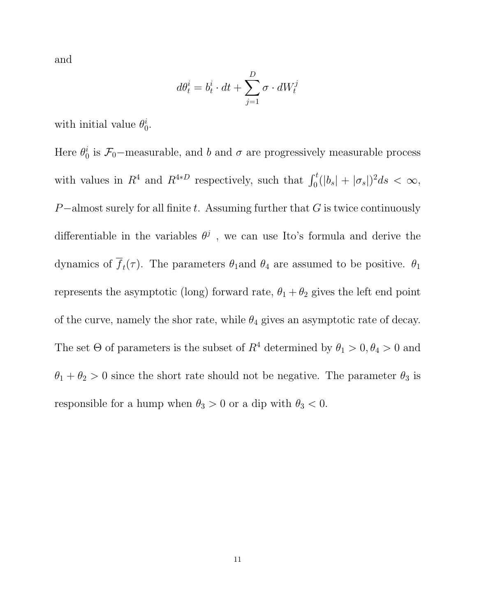and

$$
d\theta^i_t=b^i_t\cdot dt+\sum_{j=1}^D\sigma\cdot dW^j_t
$$

with initial value  $\theta_0^i$  $_{0}^{i}.$ 

Here  $\theta_0^i$  $\tilde{b}_0$  is  $\mathcal{F}_0$ -measurable, and b and  $\sigma$  are progressively measurable process with values in  $R^4$  and  $R^{4*D}$  respectively, such that  $\int_0^t (|b_s| + |\sigma_s|)^2 ds < \infty$ , P-almost surely for all finite t. Assuming further that  $G$  is twice continuously differentiable in the variables  $\theta^j$ , we can use Ito's formula and derive the dynamics of  $f_t(\tau)$ . The parameters  $\theta_1$  and  $\theta_4$  are assumed to be positive.  $\theta_1$ represents the asymptotic (long) forward rate,  $\theta_1 + \theta_2$  gives the left end point of the curve, namely the shor rate, while  $\theta_4$  gives an asymptotic rate of decay. The set  $\Theta$  of parameters is the subset of  $R^4$  determined by  $\theta_1 > 0, \theta_4 > 0$  and  $\theta_1 + \theta_2 > 0$  since the short rate should not be negative. The parameter  $\theta_3$  is responsible for a hump when  $\theta_3 > 0$  or a dip with  $\theta_3 < 0$ .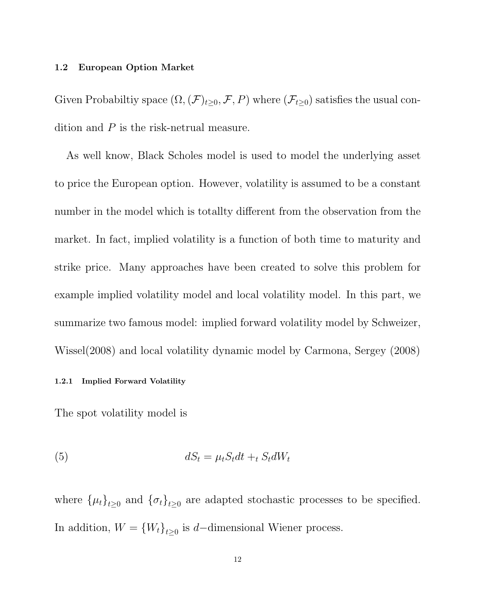#### 1.2 European Option Market

Given Probabiltiy space  $(\Omega,(\mathcal{F})_{t\geq0},\mathcal{F},P)$  where  $(\mathcal{F}_{t\geq0})$  satisfies the usual condition and P is the risk-netrual measure.

As well know, Black Scholes model is used to model the underlying asset to price the European option. However, volatility is assumed to be a constant number in the model which is totallty different from the observation from the market. In fact, implied volatility is a function of both time to maturity and strike price. Many approaches have been created to solve this problem for example implied volatility model and local volatility model. In this part, we summarize two famous model: implied forward volatility model by Schweizer, Wissel(2008) and local volatility dynamic model by Carmona, Sergey (2008)

### 1.2.1 Implied Forward Volatility

The spot volatility model is

$$
dS_t = \mu_t S_t dt +_t S_t dW_t
$$

where  $\{\mu_t\}_{t\geq 0}$  and  $\{\sigma_t\}_{t\geq 0}$  are adapted stochastic processes to be specified. In addition,  $W = \{W_t\}_{t \geq 0}$  is d–dimensional Wiener process.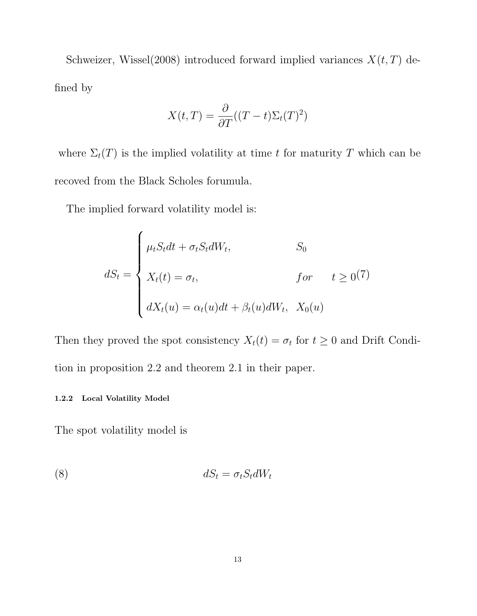Schweizer, Wissel $(2008)$  introduced forward implied variances  $X(t, T)$  defined by

$$
X(t,T) = \frac{\partial}{\partial T}((T-t)\Sigma_t(T)^2)
$$

where  $\Sigma_t(T)$  is the implied volatility at time t for maturity T which can be recoved from the Black Scholes forumula.

The implied forward volatility model is:

$$
dS_t = \begin{cases} \mu_t S_t dt + \sigma_t S_t dW_t, & S_0 \\ X_t(t) = \sigma_t, & \text{for} \qquad t \ge 0 \end{cases}
$$

$$
dX_t(u) = \alpha_t(u) dt + \beta_t(u) dW_t, X_0(u)
$$

Then they proved the spot consistency  $X_t(t) = \sigma_t$  for  $t \geq 0$  and Drift Condition in proposition 2.2 and theorem 2.1 in their paper.

#### 1.2.2 Local Volatility Model

The spot volatility model is

$$
dS_t = \sigma_t S_t dW_t
$$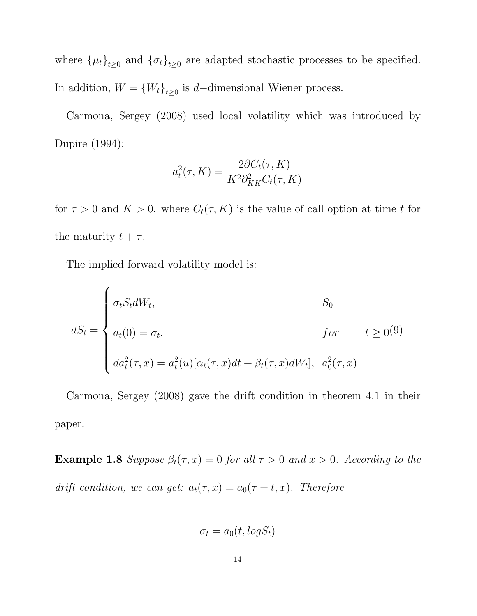where  $\{\mu_t\}_{t\geq 0}$  and  $\{\sigma_t\}_{t\geq 0}$  are adapted stochastic processes to be specified. In addition,  $W = \{W_t\}_{t \geq 0}$  is d–dimensional Wiener process.

Carmona, Sergey (2008) used local volatility which was introduced by Dupire (1994):

$$
a_t^2(\tau, K) = \frac{2\partial C_t(\tau, K)}{K^2 \partial_{KK}^2 C_t(\tau, K)}
$$

for  $\tau > 0$  and  $K > 0$ . where  $C_t(\tau, K)$  is the value of call option at time t for the maturity  $t + \tau$ .

The implied forward volatility model is:

$$
dS_t = \begin{cases} \sigma_t S_t dW_t, & S_0 \\ a_t(0) = \sigma_t, & \text{for} \qquad t \ge 0 \end{cases}
$$

$$
d\alpha_t^2(\tau, x) = a_t^2(u) [\alpha_t(\tau, x) dt + \beta_t(\tau, x) dW_t], \quad a_0^2(\tau, x)
$$

Carmona, Sergey (2008) gave the drift condition in theorem 4.1 in their paper.

**Example 1.8** Suppose  $\beta_t(\tau, x) = 0$  for all  $\tau > 0$  and  $x > 0$ . According to the drift condition, we can get:  $a_t(\tau, x) = a_0(\tau + t, x)$ . Therefore

$$
\sigma_t = a_0(t, log S_t)
$$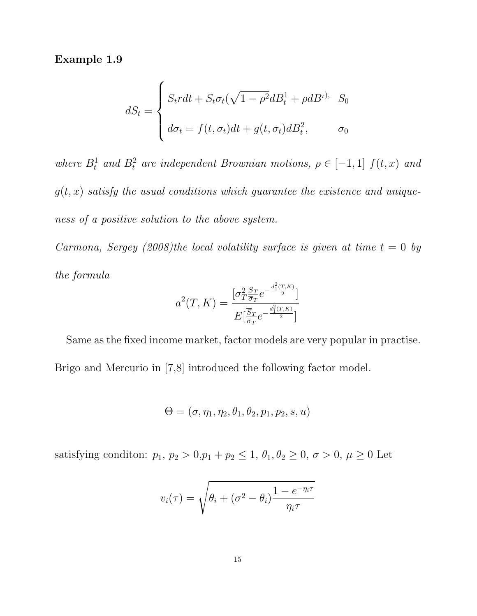Example 1.9

$$
dS_t = \begin{cases} S_t r dt + S_t \sigma_t (\sqrt{1 - \rho^2} dB_t^1 + \rho dB_t^{t}), & S_0 \\ d\sigma_t = f(t, \sigma_t) dt + g(t, \sigma_t) dB_t^2, & \sigma_0 \end{cases}
$$

where  $B_t^1$  and  $B_t^2$  are independent Brownian motions,  $\rho \in [-1,1]$   $f(t,x)$  and  $g(t, x)$  satisfy the usual conditions which guarantee the existence and uniqueness of a positive solution to the above system.

Carmona, Sergey (2008)the local volatility surface is given at time  $t = 0$  by the formula

$$
a^{2}(T, K) = \frac{\left[\sigma_{T}^{2} \frac{\overline{S}_{T}}{\overline{\sigma}_{T}} e^{-\frac{d_{1}^{2}(T, K)}{2}}\right]}{E\left[\frac{\overline{S}_{T}}{\overline{\sigma}_{T}} e^{-\frac{d_{1}^{2}(T, K)}{2}}\right]}
$$

Same as the fixed income market, factor models are very popular in practise. Brigo and Mercurio in [7,8] introduced the following factor model.

$$
\Theta = (\sigma, \eta_1, \eta_2, \theta_1, \theta_2, p_1, p_2, s, u)
$$

satisfying condition:  $p_1$ ,  $p_2 > 0$ ,  $p_1 + p_2 \le 1$ ,  $\theta_1$ ,  $\theta_2 \ge 0$ ,  $\sigma > 0$ ,  $\mu \ge 0$  Let

$$
v_i(\tau) = \sqrt{\theta_i + (\sigma^2 - \theta_i) \frac{1 - e^{-\eta_i \tau}}{\eta_i \tau}}
$$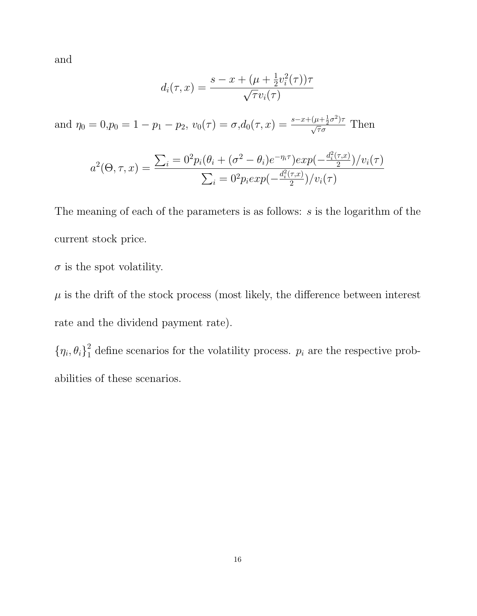and

$$
d_i(\tau, x) = \frac{s - x + (\mu + \frac{1}{2}v_i^2(\tau))\tau}{\sqrt{\tau}v_i(\tau)}
$$

and  $\eta_0 = 0, p_0 = 1 - p_1 - p_2, v_0(\tau) = \sigma, d_0(\tau, x) = \frac{s - x + (\mu + \frac{1}{2}\sigma^2)\tau}{\sqrt{\tau}\sigma}$  Then

$$
a^{2}(\Theta, \tau, x) = \frac{\sum_{i} \frac{\partial^{2} p_{i}(\theta_{i} + (\sigma^{2} - \theta_{i})e^{-\eta_{i}\tau})exp(-\frac{d_{i}^{2}(\tau, x)}{2})}{\mathcal{V}}v_{i}(\tau)}{\sum_{i} \frac{\partial^{2} p_{i}exp(-\frac{d_{i}^{2}(\tau, x)}{2})}{\mathcal{V}}v_{i}(\tau)}
$$

The meaning of each of the parameters is as follows: s is the logarithm of the current stock price.

 $\sigma$  is the spot volatility.

 $\mu$  is the drift of the stock process (most likely, the difference between interest rate and the dividend payment rate).

 $\{\eta_i,\theta_i\}_1^2$  $\frac{1}{1}$  define scenarios for the volatility process.  $p_i$  are the respective probabilities of these scenarios.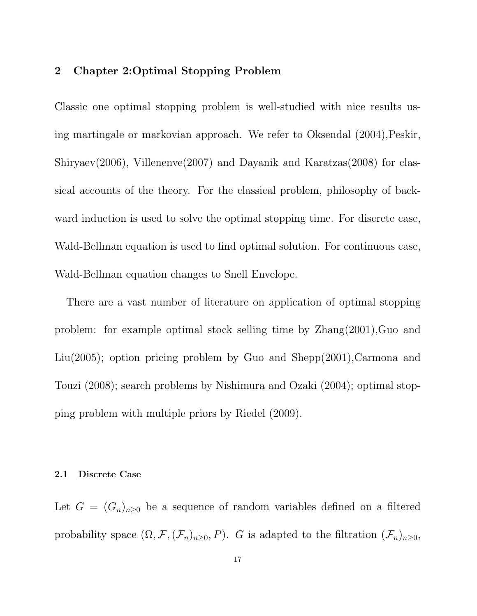# 2 Chapter 2:Optimal Stopping Problem

Classic one optimal stopping problem is well-studied with nice results using martingale or markovian approach. We refer to Oksendal (2004),Peskir, Shiryaev(2006), Villenenve(2007) and Dayanik and Karatzas(2008) for classical accounts of the theory. For the classical problem, philosophy of backward induction is used to solve the optimal stopping time. For discrete case, Wald-Bellman equation is used to find optimal solution. For continuous case, Wald-Bellman equation changes to Snell Envelope.

There are a vast number of literature on application of optimal stopping problem: for example optimal stock selling time by Zhang(2001),Guo and Liu(2005); option pricing problem by Guo and Shepp(2001), Carmona and Touzi (2008); search problems by Nishimura and Ozaki (2004); optimal stopping problem with multiple priors by Riedel (2009).

### 2.1 Discrete Case

Let  $G = (G_n)_{n \geq 0}$  be a sequence of random variables defined on a filtered probability space  $(\Omega, \mathcal{F}, (\mathcal{F}_n)_{n\geq 0}, P)$ . G is adapted to the filtration  $(\mathcal{F}_n)_{n\geq 0}$ ,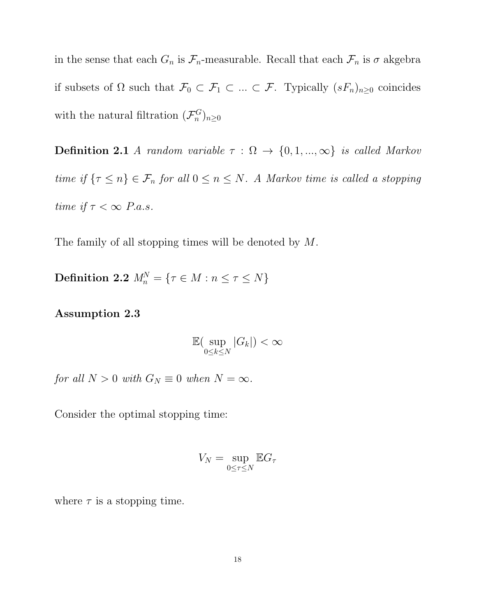in the sense that each  $G_n$  is  $\mathcal{F}_n$ -measurable. Recall that each  $\mathcal{F}_n$  is  $\sigma$  akgebra if subsets of  $\Omega$  such that  $\mathcal{F}_0 \subset \mathcal{F}_1 \subset \ldots \subset \mathcal{F}_1$ . Typically  $(sF_n)_{n\geq 0}$  coincides with the natural filtration  $(\mathcal{F}_n^G)$  $\binom{G}{n}$  $n \geq 0$ 

**Definition 2.1** A random variable  $\tau : \Omega \to \{0, 1, ..., \infty\}$  is called Markov time if  $\{\tau \leq n\} \in \mathcal{F}_n$  for all  $0 \leq n \leq N$ . A Markov time is called a stopping time if  $\tau < \infty$  P.a.s.

The family of all stopping times will be denoted by M.

 $\textbf{Definition 2.2} \ \mathit{M}^N_n = \{ \tau \in M : n \leq \tau \leq N \}$ 

Assumption 2.3

$$
\mathbb{E}(\sup_{0\leq k\leq N}|G_k|)<\infty
$$

for all  $N > 0$  with  $G_N \equiv 0$  when  $N = \infty$ .

Consider the optimal stopping time:

$$
V_N = \sup_{0 \le \tau \le N} \mathbb{E} G_\tau
$$

where  $\tau$  is a stopping time.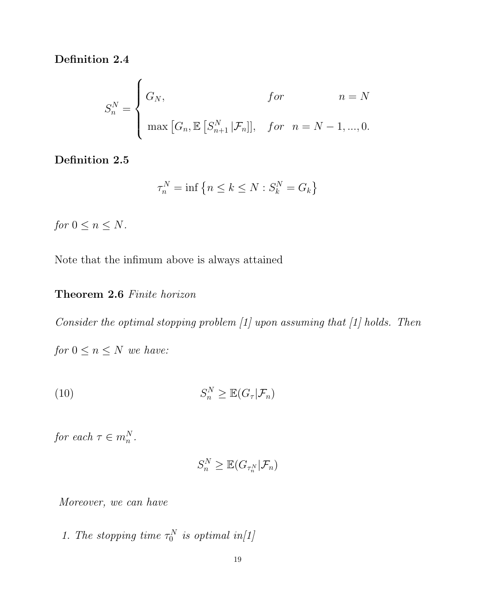Definition 2.4

$$
S_n^N = \begin{cases} G_N, & \text{for} & n = N \\ \max\left[G_n, \mathbb{E}\left[S_{n+1}^N \,|\mathcal{F}_n\right]\right], & \text{for} & n = N - 1, ..., 0. \end{cases}
$$

Definition 2.5

$$
\tau_n^N = \inf \left\{ n \le k \le N : S_k^N = G_k \right\}
$$

for  $0 \leq n \leq N$ .

Note that the infimum above is always attained

# Theorem 2.6 Finite horizon

Consider the optimal stopping problem [1] upon assuming that [1] holds. Then

for  $0 \leq n \leq N$  we have:

$$
(10) \t S_n^N \geq \mathbb{E}(G_\tau | \mathcal{F}_n)
$$

for each  $\tau \in m_n^N$ .

$$
S_n^N \geq \mathbb{E}(G_{\tau_n^N}|\mathcal{F}_n)
$$

Moreover, we can have

1. The stopping time  $\tau_0^N$  $\stackrel{.}{_{0}}^{\,\,N}\,$  is optimal in[1]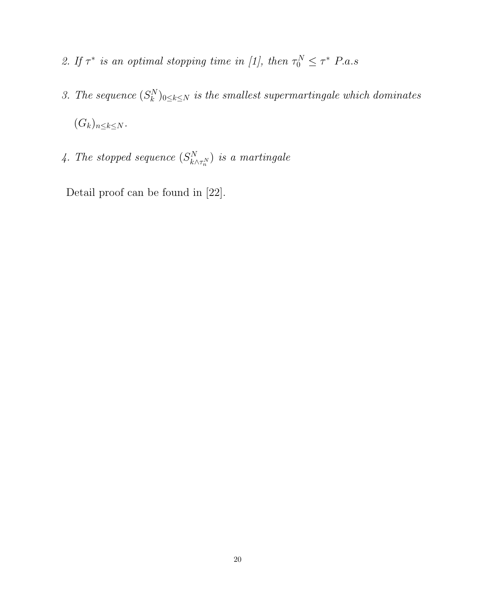- 2. If  $\tau^*$  is an optimal stopping time in [1], then  $\tau_0^N \leq \tau^*$  P.a.s
- 3. The sequence  $(S_k^N)$  $\mathbb{R}^{N}_{k}$ )<sub>0 $\leq$ k $\leq$ N is the smallest supermartingale which dominates</sub>  $(G_k)_{n\leq k\leq N}$ .
- 4. The stopped sequence  $(S_{k}^N)$  $\binom{N}{k\wedge\tau_{n}^{N}}$  is a martingale

Detail proof can be found in [22].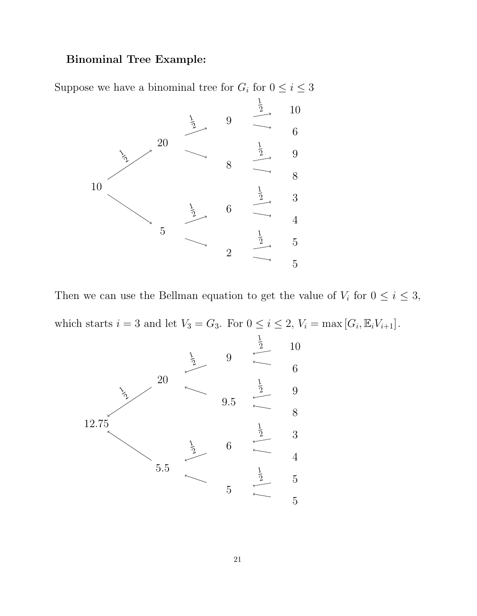# Binominal Tree Example:

Suppose we have a binominal tree for  $G_i$  for  $0 \le i \le 3$ 



Then we can use the Bellman equation to get the value of  $V_i$  for  $0 \le i \le 3$ , which starts  $i = 3$  and let  $V_3 = G_3$ . For  $0 \le i \le 2$ ,  $V_i = \max[G_i, \mathbb{E}_i V_{i+1}]$ .

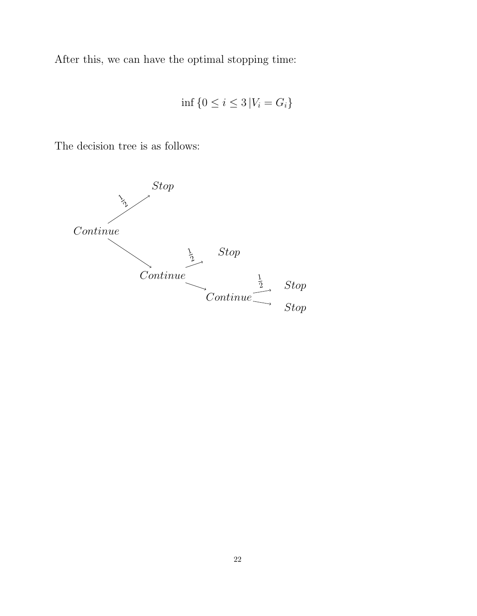After this, we can have the optimal stopping time:

$$
\inf\left\{0 \leq i \leq 3 \left|V_i = G_i\right\}\right\}
$$

The decision tree is as follows:

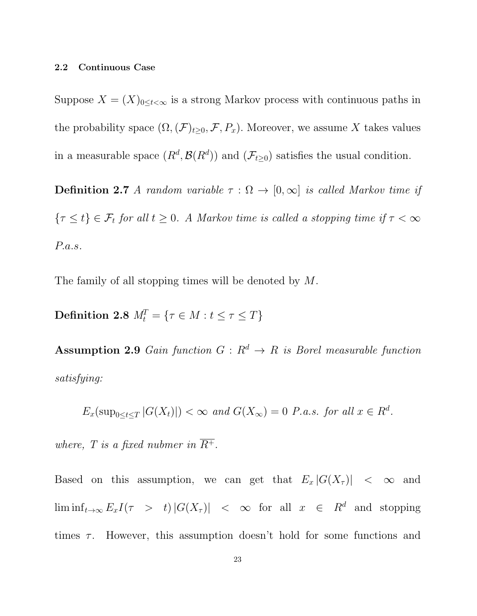#### 2.2 Continuous Case

Suppose  $X = (X)_{0 \leq t < \infty}$  is a strong Markov process with continuous paths in the probability space  $(\Omega, (\mathcal{F})_{t\geq 0}, \mathcal{F}, P_x)$ . Moreover, we assume X takes values in a measurable space  $(R^d, \mathcal{B}(R^d))$  and  $(\mathcal{F}_{t\geq 0})$  satisfies the usual condition.

**Definition 2.7** A random variable  $\tau : \Omega \to [0, \infty]$  is called Markov time if  $\{\tau \leq t\} \in \mathcal{F}_t$  for all  $t \geq 0$ . A Markov time is called a stopping time if  $\tau < \infty$ P.a.s.

The family of all stopping times will be denoted by M.

 $\textbf{Definition 2.8} \,\, M_t^T = \{ \tau \in M : t \leq \tau \leq T \}$ 

Assumption 2.9 Gain function  $G: R^d \to R$  is Borel measurable function satisfying:

$$
E_x(\sup_{0\leq t\leq T}|G(X_t)|) < \infty \text{ and } G(X_\infty) = 0 \text{ P.a.s. for all } x \in R^d.
$$

where, T is a fixed nubmer in  $\overline{R^+}$ .

Based on this assumption, we can get that  $E_x |G(X_\tau)| < \infty$  and  $\liminf_{t\to\infty} E_x I(\tau \geq t) |G(X_\tau)| \leq \infty$  for all  $x \in R^d$  and stopping times  $\tau$ . However, this assumption doesn't hold for some functions and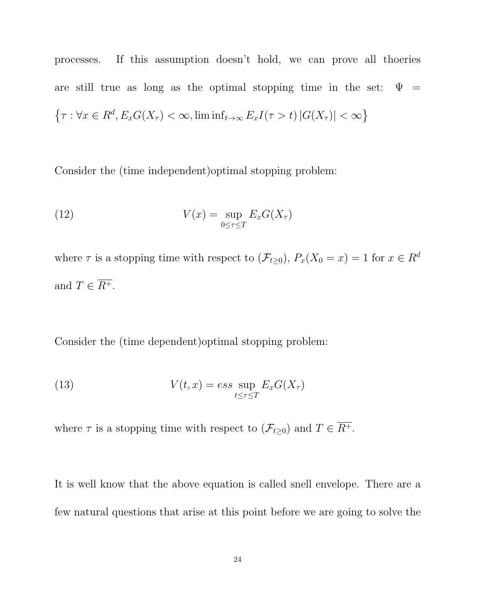processes. If this assumption doesn't hold, we can prove all thoeries are still true as long as the optimal stopping time in the set:  $\Psi =$  $\{\tau : \forall x \in R^d, E_x G(X_\tau) < \infty, \liminf_{t \to \infty} E_x I(\tau > t) |G(X_\tau)| < \infty\}$ 

Consider the (time independent)optimal stopping problem:

(12) 
$$
V(x) = \sup_{0 \le \tau \le T} E_x G(X_\tau)
$$

where  $\tau$  is a stopping time with respect to  $(\mathcal{F}_{t\geq 0}), P_x(X_0 = x) = 1$  for  $x \in \mathbb{R}^d$ and  $T \in \overline{R^+}.$ 

Consider the (time dependent)optimal stopping problem:

(13) 
$$
V(t,x) = ess \sup_{t \leq \tau \leq T} E_x G(X_{\tau})
$$

where  $\tau$  is a stopping time with respect to  $(\mathcal{F}_{t\geq 0})$  and  $T \in \overline{R^+}$ .

It is well know that the above equation is called snell envelope. There are a few natural questions that arise at this point before we are going to solve the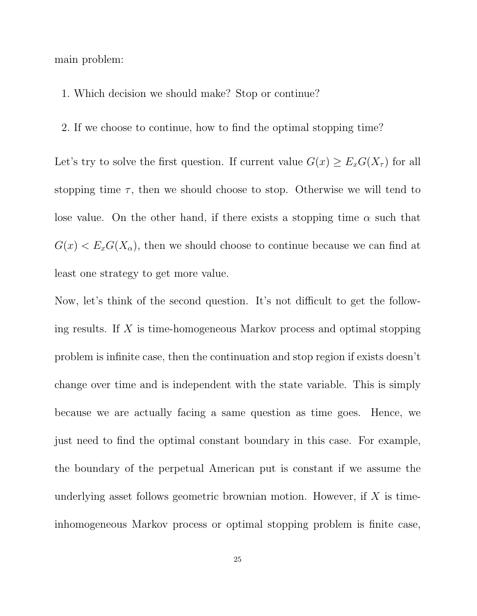main problem:

- 1. Which decision we should make? Stop or continue?
- 2. If we choose to continue, how to find the optimal stopping time?

Let's try to solve the first question. If current value  $G(x) \ge E_x G(X_\tau)$  for all stopping time  $\tau$ , then we should choose to stop. Otherwise we will tend to lose value. On the other hand, if there exists a stopping time  $\alpha$  such that  $G(x) < E_x G(X_\alpha)$ , then we should choose to continue because we can find at least one strategy to get more value.

Now, let's think of the second question. It's not difficult to get the following results. If X is time-homogeneous Markov process and optimal stopping problem is infinite case, then the continuation and stop region if exists doesn't change over time and is independent with the state variable. This is simply because we are actually facing a same question as time goes. Hence, we just need to find the optimal constant boundary in this case. For example, the boundary of the perpetual American put is constant if we assume the underlying asset follows geometric brownian motion. However, if  $X$  is timeinhomogeneous Markov process or optimal stopping problem is finite case,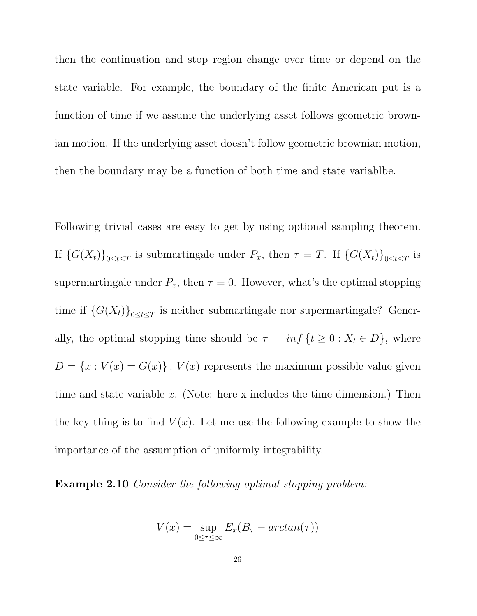then the continuation and stop region change over time or depend on the state variable. For example, the boundary of the finite American put is a function of time if we assume the underlying asset follows geometric brownian motion. If the underlying asset doesn't follow geometric brownian motion, then the boundary may be a function of both time and state variablbe.

Following trivial cases are easy to get by using optional sampling theorem. If  $\{G(X_t)\}_{0\leq t\leq T}$  is submartingale under  $P_x$ , then  $\tau = T$ . If  $\{G(X_t)\}_{0\leq t\leq T}$  is supermartingale under  $P_x$ , then  $\tau = 0$ . However, what's the optimal stopping time if  ${G(X_t)}_{0 \le t \le T}$  is neither submartingale nor supermartingale? Generally, the optimal stopping time should be  $\tau = inf \{ t \ge 0 : X_t \in D \}$ , where  $D = \{x : V(x) = G(x)\}\.$  V(x) represents the maximum possible value given time and state variable  $x$ . (Note: here x includes the time dimension.) Then the key thing is to find  $V(x)$ . Let me use the following example to show the importance of the assumption of uniformly integrability.

Example 2.10 Consider the following optimal stopping problem:

$$
V(x) = \sup_{0 \le \tau \le \infty} E_x(B_\tau - \arctan(\tau))
$$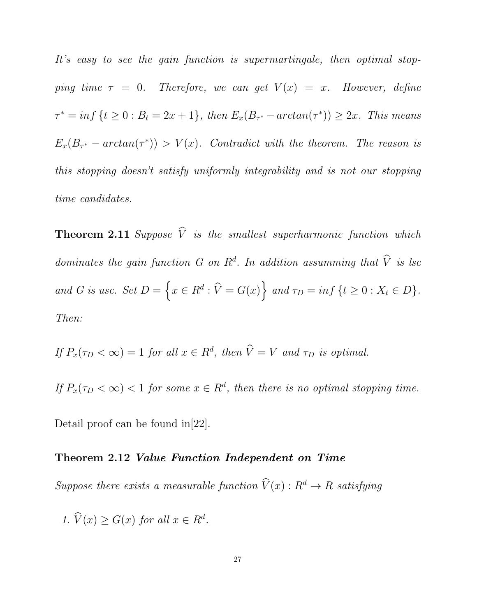It's easy to see the gain function is supermartingale, then optimal stopping time  $\tau = 0$ . Therefore, we can get  $V(x) = x$ . However, define  $\tau^* = \inf \{ t \ge 0 : B_t = 2x + 1 \}, \text{ then } E_x(B_{\tau^*} - \arctan(\tau^*)) \ge 2x. \text{ This means}$  $E_x(B_{\tau^*}-arctan(\tau^*)) > V(x)$ . Contradict with the theorem. The reason is this stopping doesn't satisfy uniformly integrability and is not our stopping time candidates.

**Theorem 2.11** Suppose  $\hat{V}$  is the smallest superharmonic function which dominates the gain function  $G$  on  $\mathbb{R}^d$ . In addition assumming that  $\hat{V}$  is lsc and G is usc. Set  $D = \left\{x \in R^d : \widehat{V} = G(x)\right\}$  and  $\tau_D = inf \left\{t \ge 0 : X_t \in D\right\}$ . Then:

If 
$$
P_x(\tau_D < \infty) = 1
$$
 for all  $x \in R^d$ , then  $\hat{V} = V$  and  $\tau_D$  is optimal.

If  $P_x(\tau_D < \infty) < 1$  for some  $x \in R^d$ , then there is no optimal stopping time.

Detail proof can be found in[22].

### Theorem 2.12 Value Function Independent on Time

Suppose there exists a measurable function  $\widehat{V}(x) : R^d \to R$  satisfying

1.  $\widehat{V}(x) \ge G(x)$  for all  $x \in R^d$ .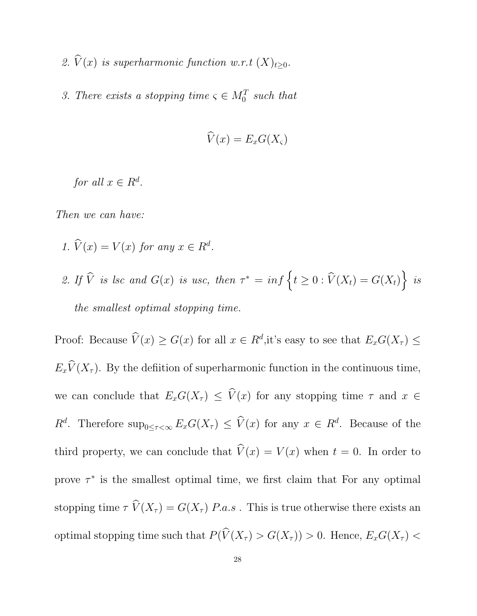- 2.  $\widehat{V}(x)$  is superharmonic function w.r.t  $(X)_{t\geq0}$ .
- 3. There exists a stopping time  $\varsigma \in M_0^T$  such that

$$
\widehat{V}(x) = E_x G(X_{\varsigma})
$$

for all  $x \in R^d$ .

Then we can have:

- 1.  $\widehat{V}(x) = V(x)$  for any  $x \in R^d$ .
- 2. If  $\widehat{V}$  is lsc and  $G(x)$  is usc, then  $\tau^* = \inf \{ t \ge 0 : \widehat{V}(X_t) = G(X_t) \}$  is the smallest optimal stopping time.

Proof: Because  $\hat{V}(x) \ge G(x)$  for all  $x \in R^d$ , it's easy to see that  $E_x G(X_\tau) \le$  $E_x\widehat{V}(X_\tau)$ . By the defiition of superharmonic function in the continuous time, we can conclude that  $E_xG(X_\tau) \leq \hat{V}(x)$  for any stopping time  $\tau$  and  $x \in$  $R^d$ . Therefore  $\sup_{0\leq\tau<\infty}E_xG(X_{\tau})\leq \widehat{V}(x)$  for any  $x\in R^d$ . Because of the third property, we can conclude that  $\hat{V}(x) = V(x)$  when  $t = 0$ . In order to prove  $\tau^*$  is the smallest optimal time, we first claim that For any optimal stopping time  $\tau \widehat{V}(X_{\tau}) = G(X_{\tau})$  P.a.s. This is true otherwise there exists an optimal stopping time such that  $P(\widehat{V}(X_{\tau}) > G(X_{\tau})) > 0$ . Hence,  $E_xG(X_{\tau}) <$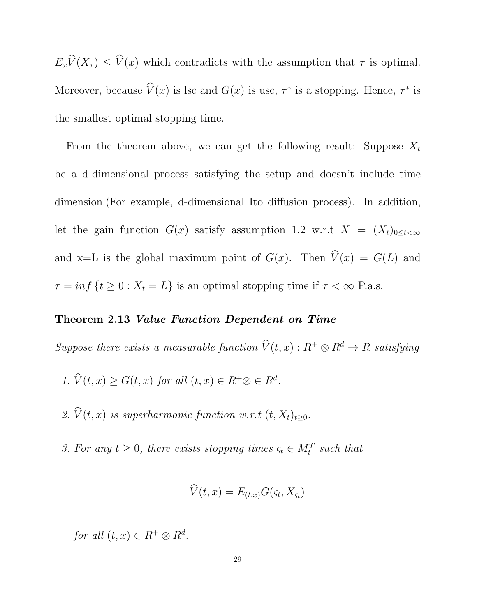$E_x\widehat{V}(X_\tau) \leq \widehat{V}(x)$  which contradicts with the assumption that  $\tau$  is optimal. Moreover, because  $\hat{V}(x)$  is lsc and  $G(x)$  is usc,  $\tau^*$  is a stopping. Hence,  $\tau^*$  is the smallest optimal stopping time.

From the theorem above, we can get the following result: Suppose  $X_t$ be a d-dimensional process satisfying the setup and doesn't include time dimension.(For example, d-dimensional Ito diffusion process). In addition, let the gain function  $G(x)$  satisfy assumption 1.2 w.r.t  $X = (X_t)_{0 \leq t < \infty}$ and x=L is the global maximum point of  $G(x)$ . Then  $\hat{V}(x) = G(L)$  and  $\tau = \inf \{ t \ge 0 : X_t = L \}$  is an optimal stopping time if  $\tau < \infty$  P.a.s.

### Theorem 2.13 Value Function Dependent on Time

Suppose there exists a measurable function  $\widehat{V}(t, x) : R^+ \otimes R^d \to R$  satisfying

- 1.  $\widehat{V}(t,x) \ge G(t,x)$  for all  $(t,x) \in R^+ \otimes \in R^d$ .
- 2.  $\widehat{V}(t, x)$  is superharmonic function w.r.t  $(t, X_t)_{t\geq0}$ .
- 3. For any  $t \geq 0$ , there exists stopping times  $\varsigma_t \in M_t^T$  such that

$$
\dot{V}(t,x) = E_{(t,x)}G(\varsigma_t,X_{\varsigma_t})
$$

for all  $(t, x) \in R^+ \otimes R^d$ .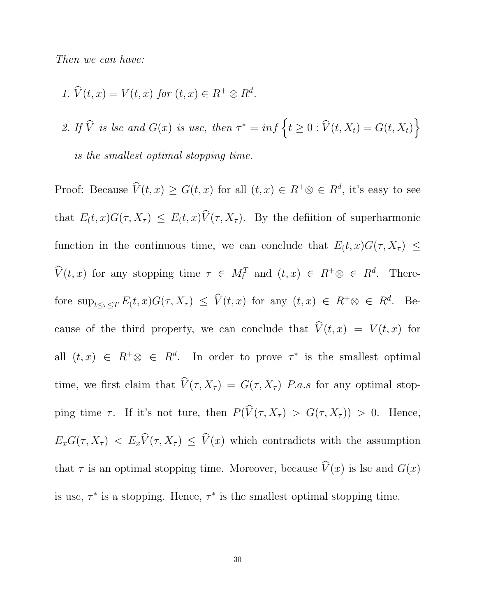Then we can have:

1.  $\widehat{V}(t,x) = V(t,x)$  for  $(t,x) \in R^+ \otimes R^d$ .

2. If  $\widehat{V}$  is lsc and  $G(x)$  is usc, then  $\tau^* = \inf \{ t \geq 0 : \widehat{V}(t, X_t) = G(t, X_t) \}$ is the smallest optimal stopping time.

Proof: Because  $\hat{V}(t, x) \ge G(t, x)$  for all  $(t, x) \in R^+ \otimes \in R^d$ , it's easy to see that  $E(t, x)G(\tau, X_{\tau}) \leq E(t, x)\hat{V}(\tau, X_{\tau})$ . By the defiition of superharmonic function in the continuous time, we can conclude that  $E(t, x)G(\tau, X_{\tau}) \leq$  $\widehat{V}(t,x)$  for any stopping time  $\tau \in M_t^T$  and  $(t,x) \in R^+ \otimes \in R^d$ . Therefore  $\sup_{t \leq \tau \leq T} E(t, x) G(\tau, X_{\tau}) \leq \widehat{V}(t, x)$  for any  $(t, x) \in R^+ \otimes \in R^d$ . Because of the third property, we can conclude that  $\hat{V}(t, x) = V(t, x)$  for all  $(t, x) \in R^+ \otimes \in R^d$ . In order to prove  $\tau^*$  is the smallest optimal time, we first claim that  $\widehat{V}(\tau, X_{\tau}) = G(\tau, X_{\tau})$  P.a.s for any optimal stopping time  $\tau$ . If it's not ture, then  $P(\widehat{V}(\tau, X_{\tau}) > G(\tau, X_{\tau})) > 0$ . Hence,  $E_xG(\tau, X_{\tau}) \le E_x\widehat{V}(\tau, X_{\tau}) \le \widehat{V}(x)$  which contradicts with the assumption that  $\tau$  is an optimal stopping time. Moreover, because  $\widehat{V}(x)$  is lsc and  $G(x)$ is usc,  $\tau^*$  is a stopping. Hence,  $\tau^*$  is the smallest optimal stopping time.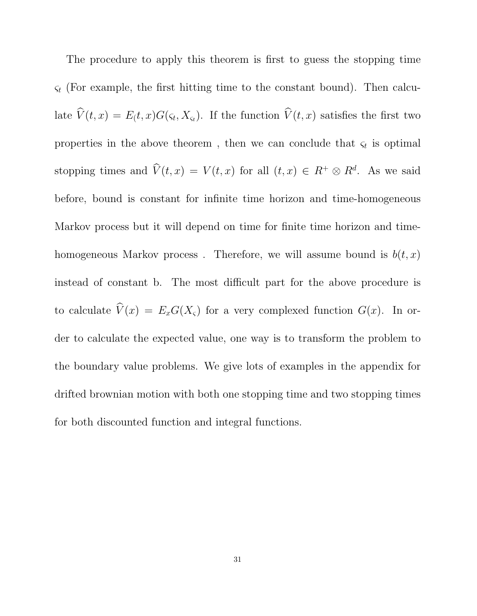The procedure to apply this theorem is first to guess the stopping time  $\varsigma_t$  (For example, the first hitting time to the constant bound). Then calculate  $V(t, x) = E(t, x)G(\varsigma_t, X_{\varsigma_t})$ . If the function  $V(t, x)$  satisfies the first two properties in the above theorem, then we can conclude that  $\varsigma_t$  is optimal stopping times and  $\widehat{V}(t,x) = V(t,x)$  for all  $(t,x) \in R^+ \otimes R^d$ . As we said before, bound is constant for infinite time horizon and time-homogeneous Markov process but it will depend on time for finite time horizon and timehomogeneous Markov process. Therefore, we will assume bound is  $b(t, x)$ instead of constant b. The most difficult part for the above procedure is to calculate  $\widehat{V}(x) = E_xG(X_\varsigma)$  for a very complexed function  $G(x)$ . In order to calculate the expected value, one way is to transform the problem to the boundary value problems. We give lots of examples in the appendix for drifted brownian motion with both one stopping time and two stopping times for both discounted function and integral functions.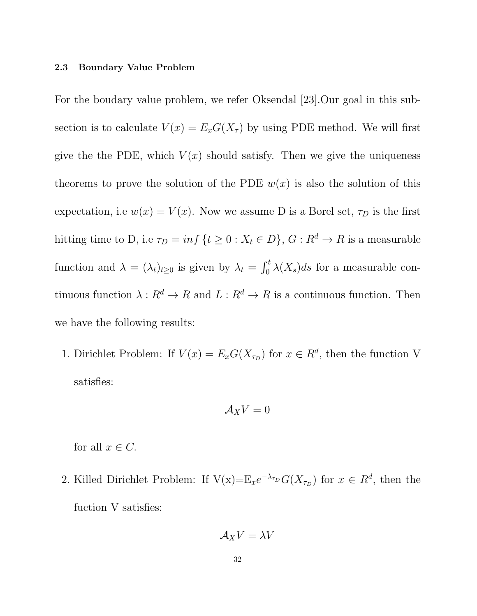#### 2.3 Boundary Value Problem

For the boudary value problem, we refer Oksendal [23].Our goal in this subsection is to calculate  $V(x) = E_x G(X_\tau)$  by using PDE method. We will first give the the PDE, which  $V(x)$  should satisfy. Then we give the uniqueness theorems to prove the solution of the PDE  $w(x)$  is also the solution of this expectation, i.e  $w(x) = V(x)$ . Now we assume D is a Borel set,  $\tau_D$  is the first hitting time to D, i.e  $\tau_D = inf \{ t \ge 0 : X_t \in D \}$ ,  $G : R^d \to R$  is a measurable function and  $\lambda = (\lambda_t)_{t \geq 0}$  is given by  $\lambda_t = \int_0^t \lambda(X_s) ds$  for a measurable continuous function  $\lambda: R^d \to R$  and  $L: R^d \to R$  is a continuous function. Then we have the following results:

1. Dirichlet Problem: If  $V(x) = E_x G(X_{\tau_D})$  for  $x \in R^d$ , then the function V satisfies:

$$
\mathcal{A}_X V = 0
$$

for all  $x \in C$ .

2. Killed Dirichlet Problem: If  $V(x)=E_xe^{-\lambda_{\tau_D}}G(X_{\tau_D})$  for  $x \in R^d$ , then the fuction V satisfies:

$$
\mathcal{A}_X V = \lambda V
$$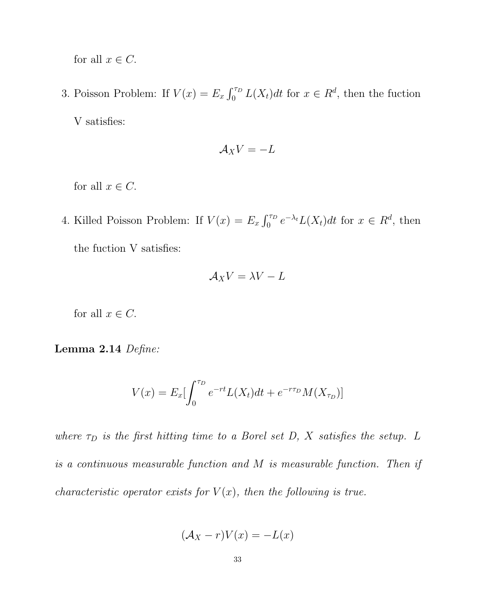for all  $x \in C$ .

3. Poisson Problem: If  $V(x) = E_x \int_0^{\tau_D} L(X_t) dt$  for  $x \in R^d$ , then the fuction V satisfies:

$$
\mathcal{A}_X V = -L
$$

for all  $x \in C$ .

4. Killed Poisson Problem: If  $V(x) = E_x \int_0^{\tau_D} e^{-\lambda_t} L(X_t) dt$  for  $x \in R^d$ , then the fuction V satisfies:

$$
\mathcal{A}_X V = \lambda V - L
$$

for all  $x \in C$ .

### Lemma 2.14 Define:

$$
V(x) = E_x \left[ \int_0^{\tau_D} e^{-rt} L(X_t) dt + e^{-r\tau_D} M(X_{\tau_D}) \right]
$$

where  $\tau_D$  is the first hitting time to a Borel set D, X satisfies the setup. L is a continuous measurable function and M is measurable function. Then if characteristic operator exists for  $V(x)$ , then the following is true.

$$
(\mathcal{A}_X - r)V(x) = -L(x)
$$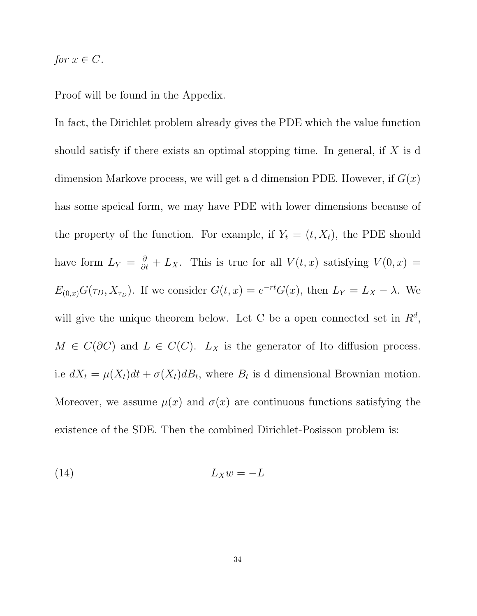# for  $x \in C$ .

Proof will be found in the Appedix.

In fact, the Dirichlet problem already gives the PDE which the value function should satisfy if there exists an optimal stopping time. In general, if  $X$  is d dimension Markove process, we will get a d dimension PDE. However, if  $G(x)$ has some speical form, we may have PDE with lower dimensions because of the property of the function. For example, if  $Y_t = (t, X_t)$ , the PDE should have form  $L_Y = \frac{\partial}{\partial t} + L_X$ . This is true for all  $V(t, x)$  satisfying  $V(0, x) =$  $E_{(0,x)}G(\tau_D, X_{\tau_D})$ . If we consider  $G(t,x) = e^{-rt}G(x)$ , then  $L_Y = L_X - \lambda$ . We will give the unique theorem below. Let C be a open connected set in  $R^d$ ,  $M \in C(\partial C)$  and  $L \in C(C)$ .  $L_X$  is the generator of Ito diffusion process. i.e  $dX_t = \mu(X_t)dt + \sigma(X_t)dB_t$ , where  $B_t$  is d dimensional Brownian motion. Moreover, we assume  $\mu(x)$  and  $\sigma(x)$  are continuous functions satisfying the existence of the SDE. Then the combined Dirichlet-Posisson problem is:

$$
(14) \t\t\t L_X w = -L
$$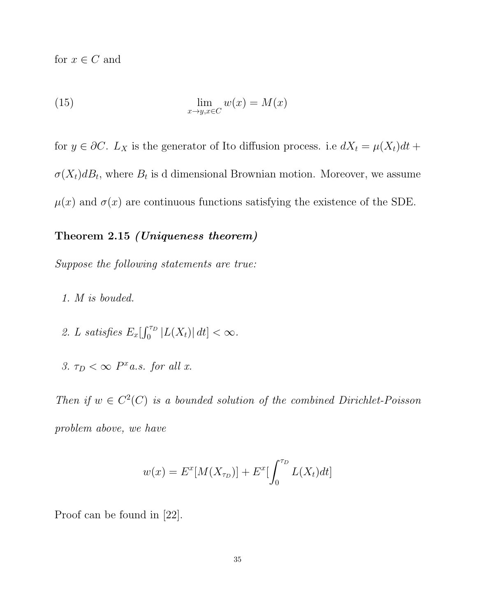for  $x \in C$  and

(15) 
$$
\lim_{x \to y, x \in C} w(x) = M(x)
$$

for  $y \in \partial C$ .  $L_X$  is the generator of Ito diffusion process. i.e  $dX_t = \mu(X_t)dt +$  $\sigma(X_t)dB_t$ , where  $B_t$  is d dimensional Brownian motion. Moreover, we assume  $\mu(x)$  and  $\sigma(x)$  are continuous functions satisfying the existence of the SDE.

# Theorem 2.15 (Uniqueness theorem)

Suppose the following statements are true:

- 1. M is bouded.
- 2. L satisfies  $E_x[\int_0^{\tau_D} |L(X_t)| dt] < \infty$ .
- 3.  $\tau_D < \infty$  P<sup>x</sup> a.s. for all x.

Then if  $w \in C^2(C)$  is a bounded solution of the combined Dirichlet-Poisson problem above, we have

$$
w(x) = E^{x}[M(X_{\tau_D})] + E^{x}[\int_0^{\tau_D} L(X_t)dt]
$$

Proof can be found in [22].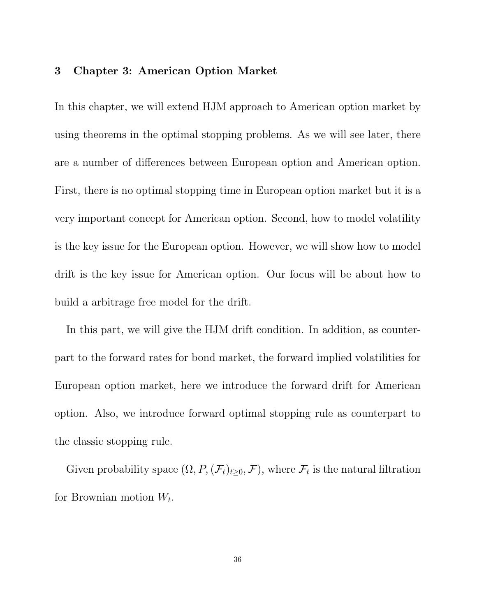# 3 Chapter 3: American Option Market

In this chapter, we will extend HJM approach to American option market by using theorems in the optimal stopping problems. As we will see later, there are a number of differences between European option and American option. First, there is no optimal stopping time in European option market but it is a very important concept for American option. Second, how to model volatility is the key issue for the European option. However, we will show how to model drift is the key issue for American option. Our focus will be about how to build a arbitrage free model for the drift.

In this part, we will give the HJM drift condition. In addition, as counterpart to the forward rates for bond market, the forward implied volatilities for European option market, here we introduce the forward drift for American option. Also, we introduce forward optimal stopping rule as counterpart to the classic stopping rule.

Given probability space  $(\Omega, P, (\mathcal{F}_t)_{t \geq 0}, \mathcal{F})$ , where  $\mathcal{F}_t$  is the natural filtration for Brownian motion  $W_t$ .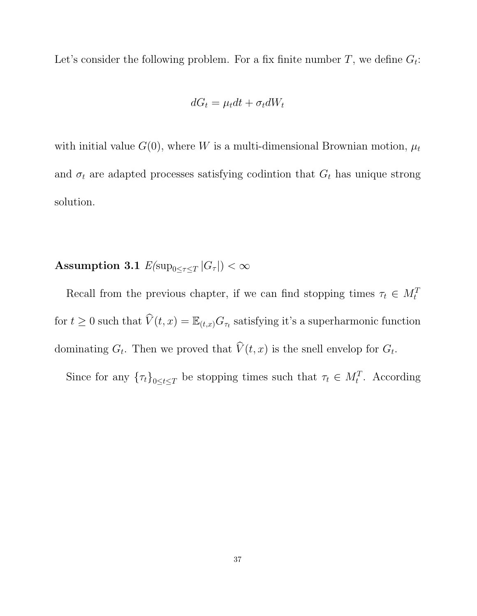Let's consider the following problem. For a fix finite number  $T$ , we define  $G_t$ :

$$
dG_t = \mu_t dt + \sigma_t dW_t
$$

with initial value  $G(0)$ , where W is a multi-dimensional Brownian motion,  $\mu_t$ and  $\sigma_t$  are adapted processes satisfying codintion that  $G_t$  has unique strong solution.

 $\textbf{Assumption 3.1} \,\, E(\text{sup}_{0 \leq \tau \leq T} \left | G_\tau \right |) < \infty$ 

Recall from the previous chapter, if we can find stopping times  $\tau_t \in M_t^T$ for  $t \geq 0$  such that  $\widehat{V}(t, x) = \mathbb{E}_{(t, x)} G_{\tau_t}$  satisfying it's a superharmonic function dominating  $G_t$ . Then we proved that  $V(t, x)$  is the snell envelop for  $G_t$ .

Since for any  $\{\tau_t\}_{0\leq t\leq T}$  be stopping times such that  $\tau_t \in M_t^T$ . According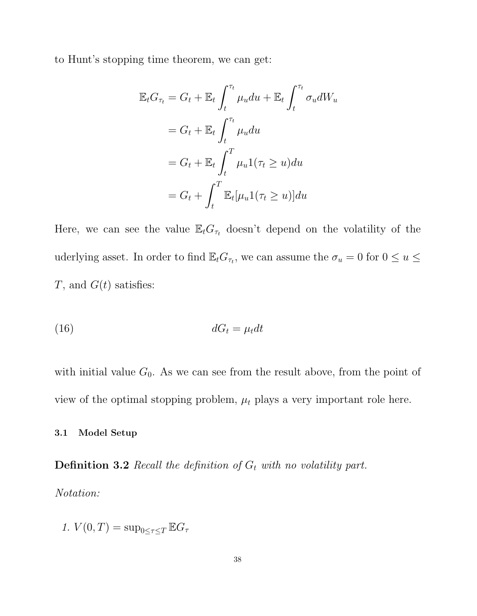to Hunt's stopping time theorem, we can get:

$$
\mathbb{E}_t G_{\tau_t} = G_t + \mathbb{E}_t \int_t^{\tau_t} \mu_u du + \mathbb{E}_t \int_t^{\tau_t} \sigma_u dW_u
$$
  
=  $G_t + \mathbb{E}_t \int_t^{\tau_t} \mu_u du$   
=  $G_t + \mathbb{E}_t \int_t^T \mu_u 1(\tau_t \ge u) du$   
=  $G_t + \int_t^T \mathbb{E}_t [\mu_u 1(\tau_t \ge u)] du$ 

Here, we can see the value  $\mathbb{E}_t G_{\tau_t}$  doesn't depend on the volatility of the uderlying asset. In order to find  $\mathbb{E}_t G_{\tau_t}$ , we can assume the  $\sigma_u = 0$  for  $0 \le u \le \tau$  $T$ , and  $G(t)$  satisfies:

$$
dG_t = \mu_t dt
$$

with initial value  $G_0$ . As we can see from the result above, from the point of view of the optimal stopping problem,  $\mu_t$  plays a very important role here.

## 3.1 Model Setup

**Definition 3.2** Recall the definition of  $G_t$  with no volatility part.

Notation:

1.  $V(0,T) = \sup_{0 \leq \tau \leq T} \mathbb{E} G_{\tau}$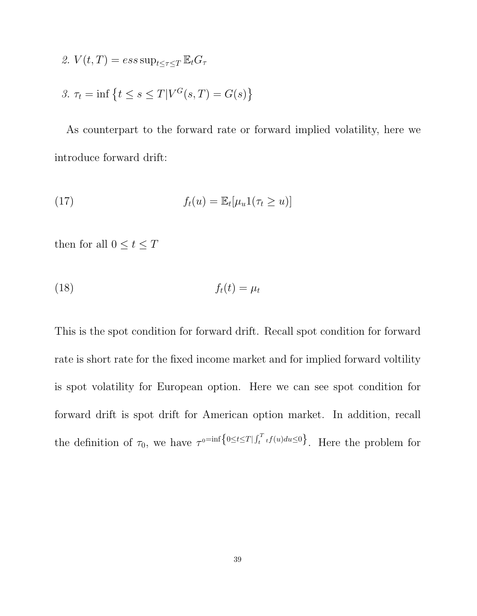2. 
$$
V(t,T) = ess \sup_{t \leq \tau \leq T} \mathbb{E}_t G_\tau
$$

$$
\mathcal{S}.\ \tau_t = \inf\left\{t \le s \le T | V^G(s,T) = G(s)\right\}
$$

As counterpart to the forward rate or forward implied volatility, here we introduce forward drift:

(17) 
$$
f_t(u) = \mathbb{E}_t[\mu_u 1(\tau_t \ge u)]
$$

then for all  $0\leq t\leq T$ 

$$
f_t(t) = \mu_t
$$

This is the spot condition for forward drift. Recall spot condition for forward rate is short rate for the fixed income market and for implied forward voltility is spot volatility for European option. Here we can see spot condition for forward drift is spot drift for American option market. In addition, recall the definition of  $\tau_0$ , we have  $\tau^{0}$ <sup>=inf</sup>{ $0 \le t \le T | \int_t^T t f(u) du \le 0$ }. Here the problem for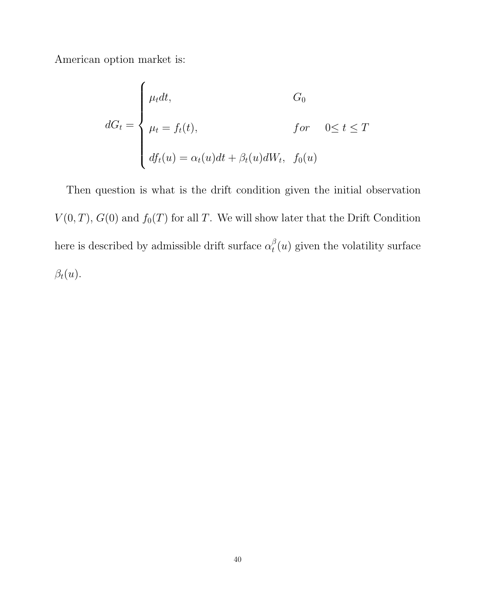American option market is:

$$
dG_t = \begin{cases} \mu_t dt, & G_0 \\ \mu_t = f_t(t), & \text{for} \quad 0 \le t \le T \\ df_t(u) = \alpha_t(u)dt + \beta_t(u)dW_t, & f_0(u) \end{cases}
$$

Then question is what is the drift condition given the initial observation  $V(0,T)$ ,  $G(0)$  and  $f_0(T)$  for all T. We will show later that the Drift Condition here is described by admissible drift surface  $\alpha_t^{\beta}$  $t<sub>t</sub>(u)$  given the volatility surface  $\beta_t(u)$ .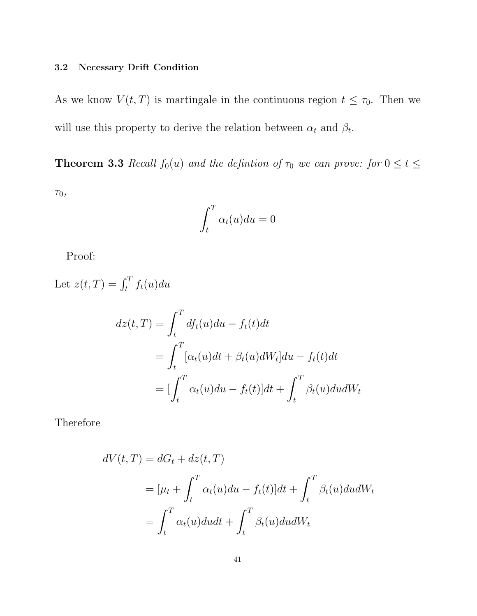# 3.2 Necessary Drift Condition

As we know  $V(t,T)$  is martingale in the continuous region  $t \leq \tau_0$ . Then we will use this property to derive the relation between  $\alpha_t$  and  $\beta_t$ .

**Theorem 3.3** Recall  $f_0(u)$  and the definition of  $\tau_0$  we can prove: for  $0 \le t \le$ 

 $\tau_0$ ,

$$
\int_t^T \alpha_t(u) du = 0
$$

Proof:

Let  $z(t,T) = \int_t^T f_t(u) du$ 

$$
dz(t,T) = \int_t^T df_t(u)du - f_t(t)dt
$$
  
= 
$$
\int_t^T [\alpha_t(u)dt + \beta_t(u)dW_t]du - f_t(t)dt
$$
  
= 
$$
[\int_t^T \alpha_t(u)du - f_t(t)]dt + \int_t^T \beta_t(u)dudW_t
$$

Therefore

$$
dV(t,T) = dG_t + dz(t,T)
$$
  
= 
$$
[\mu_t + \int_t^T \alpha_t(u)du - f_t(t)]dt + \int_t^T \beta_t(u)dudW_t
$$
  
= 
$$
\int_t^T \alpha_t(u)dudt + \int_t^T \beta_t(u)dudW_t
$$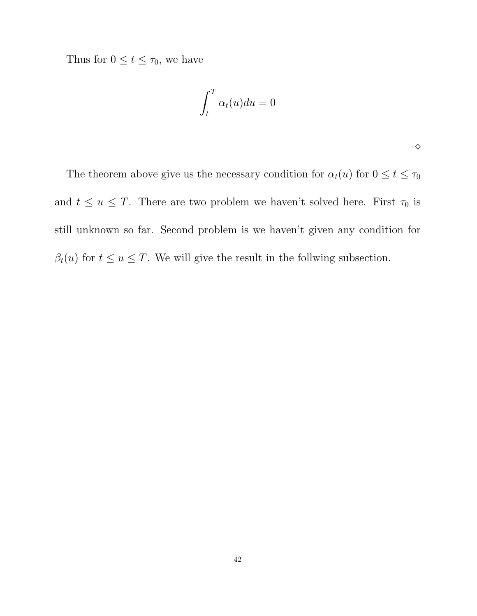Thus for  $0 \le t \le \tau_0$ , we have

$$
\int_t^T \alpha_t(u) du = 0
$$

 $\Diamond$ 

The theorem above give us the necessary condition for  $\alpha_t(u)$  for  $0\leq t\leq \tau_0$ and  $t \le u \le T$ . There are two problem we haven't solved here. First  $\tau_0$  is still unknown so far. Second problem is we haven't given any condition for  $\beta_t(u)$  for  $t \le u \le T$ . We will give the result in the follwing subsection.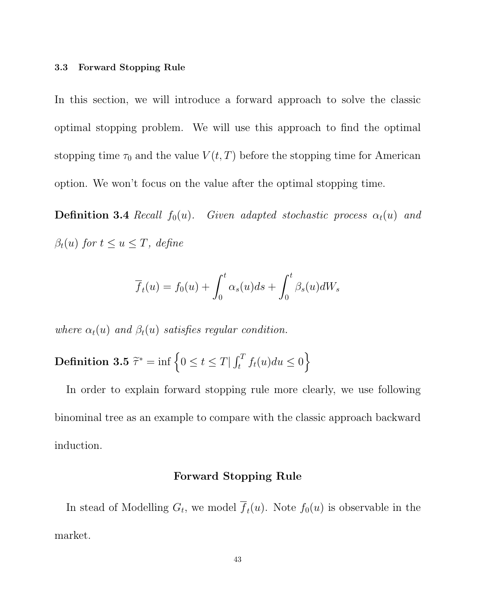### 3.3 Forward Stopping Rule

In this section, we will introduce a forward approach to solve the classic optimal stopping problem. We will use this approach to find the optimal stopping time  $\tau_0$  and the value  $V(t,T)$  before the stopping time for American option. We won't focus on the value after the optimal stopping time.

**Definition 3.4** Recall  $f_0(u)$ . Given adapted stochastic process  $\alpha_t(u)$  and  $\beta_t(u)$  for  $t \leq u \leq T$ , define

$$
\overline{f}_t(u) = f_0(u) + \int_0^t \alpha_s(u)ds + \int_0^t \beta_s(u)dW_s
$$

where  $\alpha_t(u)$  and  $\beta_t(u)$  satisfies regular condition.

**Definition 3.5** 
$$
\tilde{\tau}^* = \inf \left\{ 0 \le t \le T | \int_t^T f_t(u) du \le 0 \right\}
$$

In order to explain forward stopping rule more clearly, we use following binominal tree as an example to compare with the classic approach backward induction.

# Forward Stopping Rule

In stead of Modelling  $G_t$ , we model  $f_t(u)$ . Note  $f_0(u)$  is observable in the market.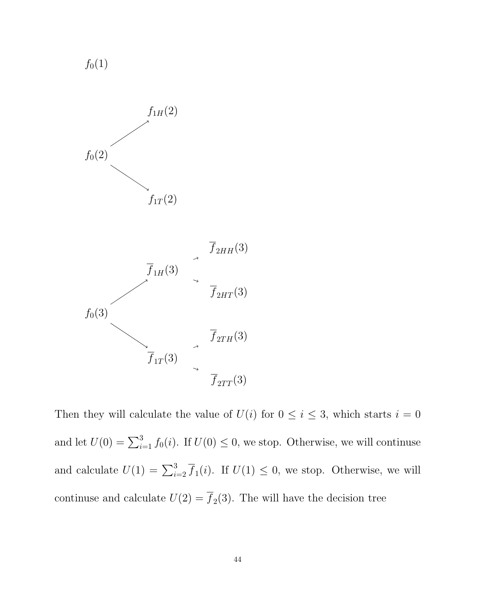$f_0(1)$ 



Then they will calculate the value of  $U(i)$  for  $0 \le i \le 3$ , which starts  $i = 0$ and let  $U(0) = \sum_{i=1}^{3} f_0(i)$ . If  $U(0) \leq 0$ , we stop. Otherwise, we will continuse and calculate  $U(1) = \sum_{i=2}^{3} \overline{f}_1(i)$ . If  $U(1) \leq 0$ , we stop. Otherwise, we will continuse and calculate  $U(2) = f_2(3)$ . The will have the decision tree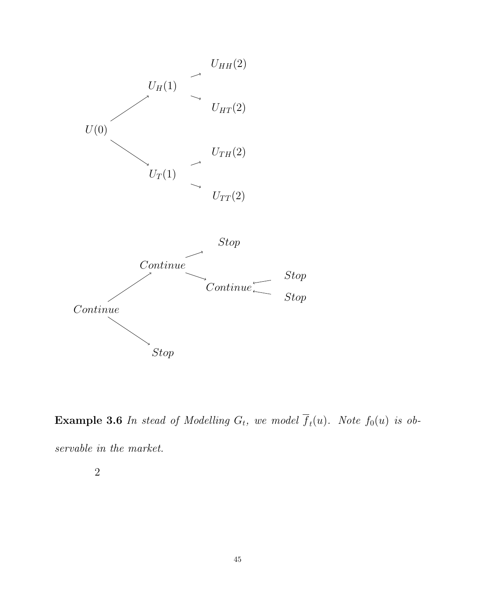

**Example 3.6** In stead of Modelling  $G_t$ , we model  $f_t(u)$ . Note  $f_0(u)$  is observable in the market.

2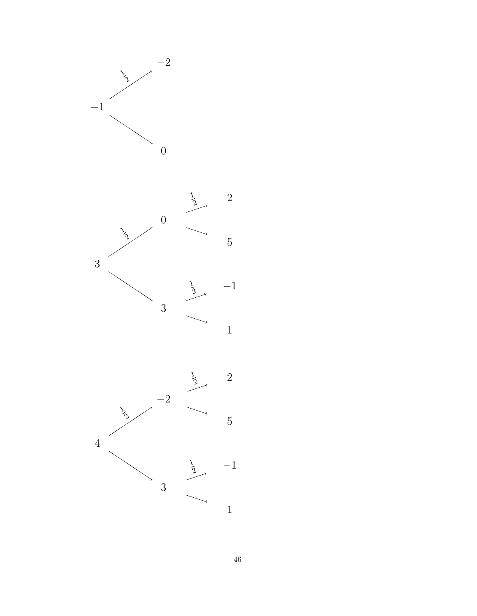



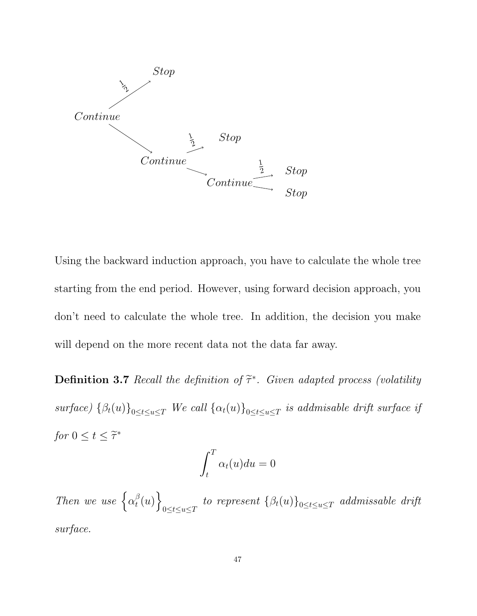

Using the backward induction approach, you have to calculate the whole tree starting from the end period. However, using forward decision approach, you don't need to calculate the whole tree. In addition, the decision you make will depend on the more recent data not the data far away.

**Definition 3.7** Recall the definition of  $\tilde{\tau}^*$ . Given adapted process (volatility surface)  $\{\beta_t(u)\}_{0 \le t \le u \le T}$  We call  $\{\alpha_t(u)\}_{0 \le t \le u \le T}$  is addmisable drift surface if for  $0 \le t \le \widetilde{\tau}^*$ 

$$
\int_t^T \alpha_t(u) du = 0
$$

Then we use  $\big\{\alpha_t^{\beta}$  $_{t}^{\beta}(u)\Big\}$  $\left\{ \log_{t\leq u\leq T}\right. \; to\;\; represent\; \left\{ \beta_{t}(u)\right\} _{0\leq t\leq u\leq T}\;\; addmissable\;\; drift$ surface.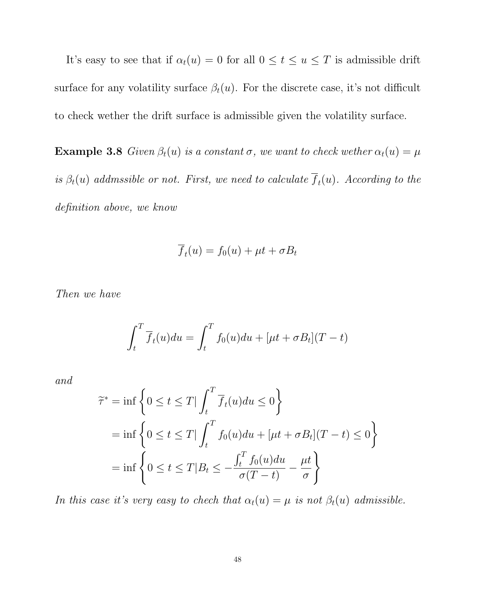It's easy to see that if  $\alpha_t(u) = 0$  for all  $0 \le t \le u \le T$  is admissible drift surface for any volatility surface  $\beta_t(u)$ . For the discrete case, it's not difficult to check wether the drift surface is admissible given the volatility surface.

**Example 3.8** Given  $\beta_t(u)$  is a constant  $\sigma$ , we want to check wether  $\alpha_t(u) = \mu$ is  $\beta_t(u)$  addmssible or not. First, we need to calculate  $f_t(u)$ . According to the definition above, we know

$$
\overline{f}_t(u) = f_0(u) + \mu t + \sigma B_t
$$

Then we have

$$
\int_t^T \overline{f}_t(u) du = \int_t^T f_0(u) du + [\mu t + \sigma B_t](T - t)
$$

and

$$
\begin{aligned}\n\widetilde{\tau}^* &= \inf \left\{ 0 \le t \le T \middle| \int_t^T \overline{f}_t(u) du \le 0 \right\} \\
&= \inf \left\{ 0 \le t \le T \middle| \int_t^T f_0(u) du + [\mu t + \sigma B_t](T - t) \le 0 \right\} \\
&= \inf \left\{ 0 \le t \le T \middle| B_t \le -\frac{\int_t^T f_0(u) du}{\sigma(T - t)} - \frac{\mu t}{\sigma} \right\}\n\end{aligned}
$$

In this case it's very easy to chech that  $\alpha_t(u) = \mu$  is not  $\beta_t(u)$  admissible.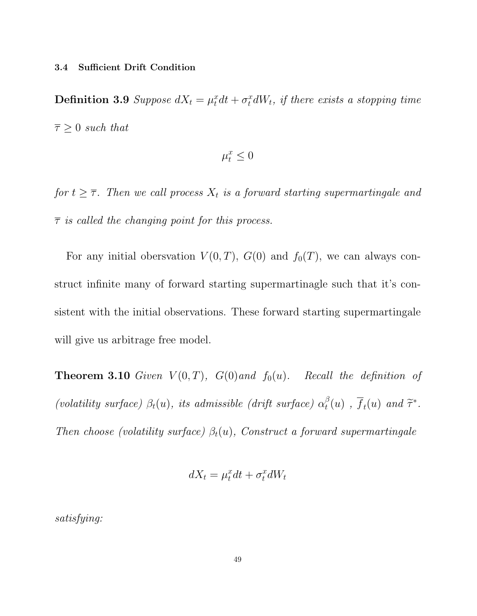#### 3.4 Sufficient Drift Condition

**Definition 3.9** Suppose  $dX_t = \mu_t^x dt + \sigma_t^x dW_t$ , if there exists a stopping time  $\overline{\tau} \geq 0$  such that

$$
\mu_t^x \leq 0
$$

for  $t \geq \overline{\tau}$ . Then we call process  $X_t$  is a forward starting supermartingale and  $\bar{\tau}$  is called the changing point for this process.

For any initial obersvation  $V(0,T)$ ,  $G(0)$  and  $f_0(T)$ , we can always construct infinite many of forward starting supermartinagle such that it's consistent with the initial observations. These forward starting supermartingale will give us arbitrage free model.

**Theorem 3.10** Given  $V(0,T)$ ,  $G(0)$  and  $f_0(u)$ . Recall the definition of (volatility surface)  $\beta_t(u)$ , its admissible (drift surface)  $\alpha_t^{\beta}$  $t(t(u)$ ,  $\overline{f}_t(u)$  and  $\widetilde{\tau}^*$ . Then choose (volatility surface)  $\beta_t(u)$ , Construct a forward supermartingale

$$
dX_t = \mu_t^x dt + \sigma_t^x dW_t
$$

satisfying: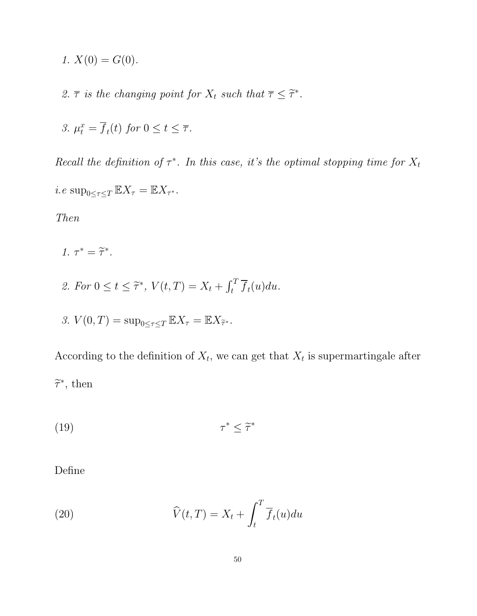- 1.  $X(0) = G(0)$ .
- 2.  $\overline{\tau}$  is the changing point for  $X_t$  such that  $\overline{\tau} \leq \widetilde{\tau}^*$ .

3. 
$$
\mu_t^x = \overline{f}_t(t)
$$
 for  $0 \le t \le \overline{\tau}$ .

Recall the definition of  $\tau^*$ . In this case, it's the optimal stopping time for  $X_t$ 

*i.e* sup<sub>0≤ $\tau \leq T \mathbb{E} X_{\tau} = \mathbb{E} X_{\tau^*}.$ </sub>

Then

$$
1. \tau^* = \widetilde{\tau}^*.
$$

2. For  $0 \le t \le \tilde{\tau}^*$ ,  $V(t,T) = X_t + \int_t^T \overline{f}_t(u) du$ .

3. 
$$
V(0,T) = \sup_{0 \le \tau \le T} \mathbb{E}X_{\tau} = \mathbb{E}X_{\tilde{\tau}^*}.
$$

According to the definition of  $X_t$ , we can get that  $X_t$  is supermartingale after  $\widetilde{\tau}^*$ , then

$$
(19) \t\t\t \tau^* \leq \tilde{\tau}^*
$$

Define

(20) 
$$
\widehat{V}(t,T) = X_t + \int_t^T \overline{f}_t(u) du
$$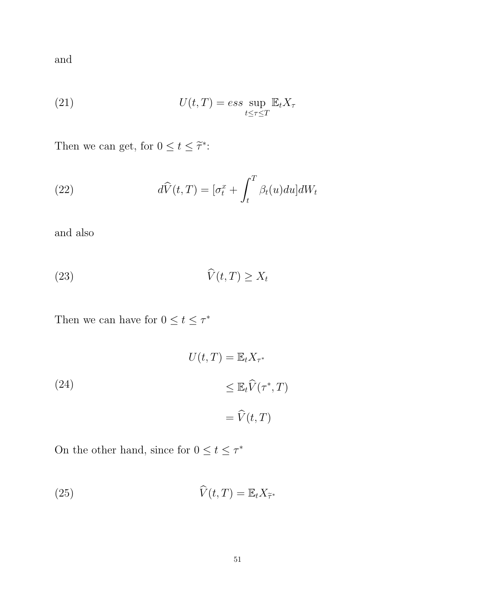and

(21) 
$$
U(t,T) = ess \sup_{t \leq \tau \leq T} \mathbb{E}_t X_{\tau}
$$

Then we can get, for  $0 \le t \le \tilde{\tau}^*$ :

(22) 
$$
d\widehat{V}(t,T) = \left[\sigma_t^x + \int_t^T \beta_t(u) du\right] dW_t
$$

and also

$$
\widehat{V}(t,T) \ge X_t
$$

Then we can have for  $0 \le t \le \tau^*$ 

(24)  
\n
$$
U(t,T) = \mathbb{E}_t X_{\tau^*}
$$
\n
$$
\leq \mathbb{E}_t \widehat{V}(\tau^*, T)
$$
\n
$$
= \widehat{V}(t, T)
$$

On the other hand, since for  $0 \le t \le \tau^*$ 

(25) 
$$
\widehat{V}(t,T) = \mathbb{E}_t X_{\widetilde{\tau}^*}
$$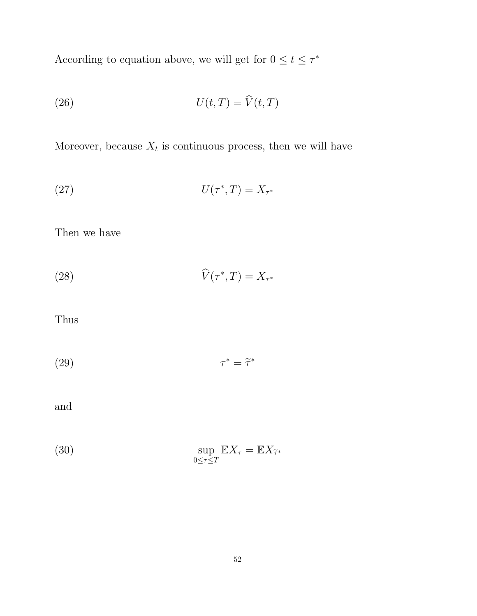According to equation above, we will get for  $0 \le t \le \tau^*$ 

(26) 
$$
U(t,T) = \widehat{V}(t,T)
$$

Moreover, because  $X_t$  is continuous process, then we will have

$$
U(\tau^*,T) = X_{\tau^*}
$$

Then we have

(28) 
$$
\widehat{V}(\tau^*,T) = X_{\tau^*}
$$

Thus

$$
\tau^* = \tilde{\tau}^*
$$

and

(30) 
$$
\sup_{0 \le \tau \le T} \mathbb{E} X_{\tau} = \mathbb{E} X_{\tilde{\tau}^*}
$$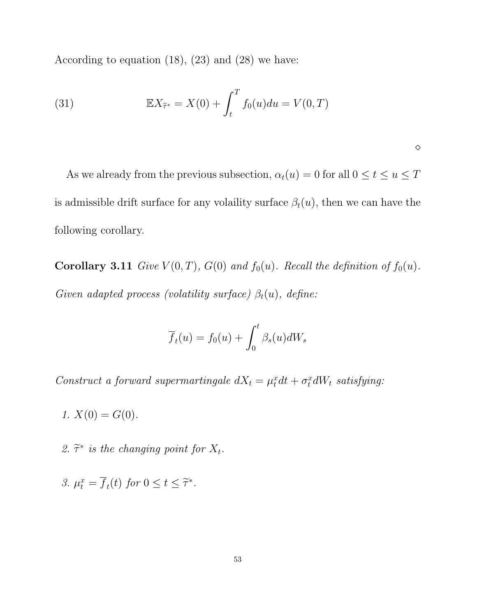According to equation (18), (23) and (28) we have:

(31) 
$$
\mathbb{E}X_{\tilde{\tau}^*} = X(0) + \int_t^T f_0(u)du = V(0,T)
$$

As we already from the previous subsection,  $\alpha_t(u) = 0$  for all  $0 \leq t \leq u \leq T$ is admissible drift surface for any volaility surface  $\beta_t(u)$ , then we can have the following corollary.

 $\Diamond$ 

Corollary 3.11 Give  $V(0,T)$ ,  $G(0)$  and  $f_0(u)$ . Recall the definition of  $f_0(u)$ . Given adapted process (volatility surface)  $\beta_t(u)$ , define:

$$
\overline{f}_t(u) = f_0(u) + \int_0^t \beta_s(u)dW_s
$$

Construct a forward supermartingale  $dX_t = \mu_t^x dt + \sigma_t^x dW_t$  satisfying:

1.  $X(0) = G(0)$ .

2.  $\tilde{\tau}^*$  is the changing point for  $X_t$ .

3. 
$$
\mu_t^x = \overline{f}_t(t)
$$
 for  $0 \le t \le \tilde{\tau}^*$ .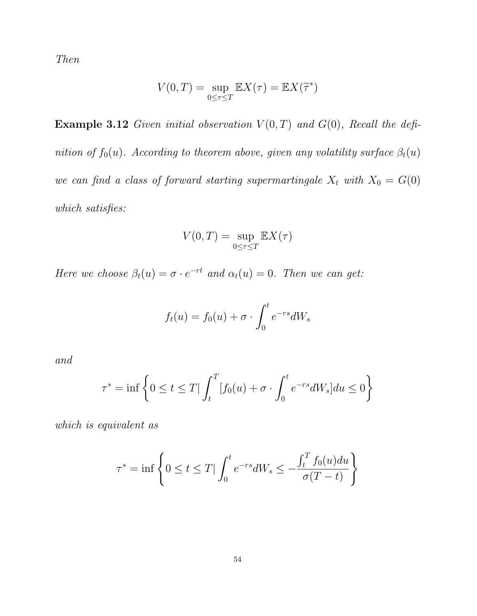Then

$$
V(0,T) = \sup_{0 \le \tau \le T} \mathbb{E}X(\tau) = \mathbb{E}X(\widetilde{\tau}^*)
$$

**Example 3.12** Given initial observation  $V(0,T)$  and  $G(0)$ , Recall the definition of  $f_0(u)$ . According to theorem above, given any volatility surface  $\beta_t(u)$ we can find a class of forward starting supermartingale  $X_t$  with  $X_0 = G(0)$ which satisfies:

$$
V(0,T) = \sup_{0 \le \tau \le T} \mathbb{E}X(\tau)
$$

Here we choose  $\beta_t(u) = \sigma \cdot e^{-rt}$  and  $\alpha_t(u) = 0$ . Then we can get:

$$
f_t(u) = f_0(u) + \sigma \cdot \int_0^t e^{-rs} dW_s
$$

and

$$
\tau^* = \inf \left\{ 0 \le t \le T \mid \int_t^T [f_0(u) + \sigma \cdot \int_0^t e^{-rs} dW_s] du \le 0 \right\}
$$

which is equivalent as

$$
\tau^* = \inf \left\{ 0 \le t \le T \mid \int_0^t e^{-rs} dW_s \le -\frac{\int_t^T f_0(u) du}{\sigma(T-t)} \right\}
$$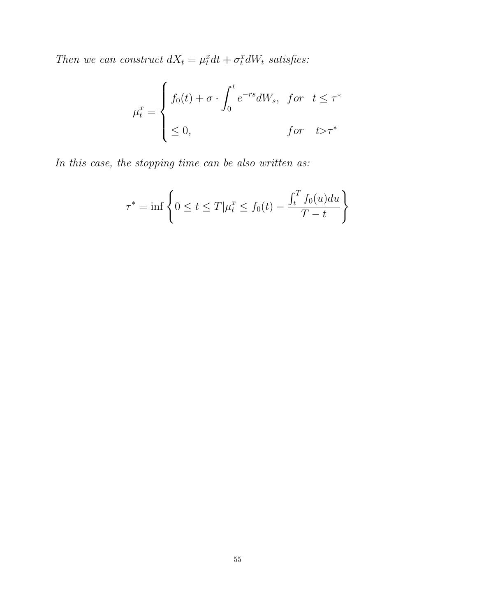Then we can construct  $dX_t = \mu_t^x dt + \sigma_t^x dW_t$  satisfies:

$$
\mu_t^x = \begin{cases} f_0(t) + \sigma \cdot \int_0^t e^{-rs} dW_s, & \text{for } t \le \tau^* \\ & \le 0, & \text{for } t > \tau^* \end{cases}
$$

In this case, the stopping time can be also written as:

$$
\tau^* = \inf \left\{ 0 \le t \le T | \mu_t^x \le f_0(t) - \frac{\int_t^T f_0(u) du}{T - t} \right\}
$$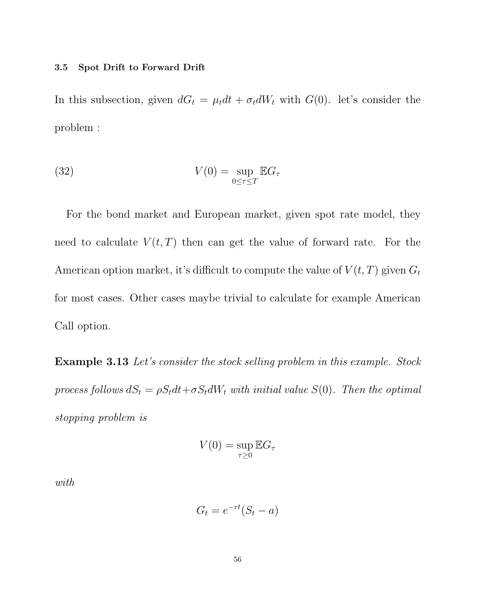#### 3.5 Spot Drift to Forward Drift

In this subsection, given  $dG_t = \mu_t dt + \sigma_t dW_t$  with  $G(0)$ . let's consider the problem :

(32) 
$$
V(0) = \sup_{0 \le \tau \le T} \mathbb{E} G_{\tau}
$$

For the bond market and European market, given spot rate model, they need to calculate  $V(t, T)$  then can get the value of forward rate. For the American option market, it's difficult to compute the value of  $V(t, T)$  given  $G_t$ for most cases. Other cases maybe trivial to calculate for example American Call option.

Example 3.13 Let's consider the stock selling problem in this example. Stock process follows  $dS_t = \rho S_t dt + \sigma S_t dW_t$  with initial value  $S(0)$ . Then the optimal stopping problem is

$$
V(0) = \sup_{\tau \geq 0} \mathbb{E} G_{\tau}
$$

with

$$
G_t = e^{-rt}(S_t - a)
$$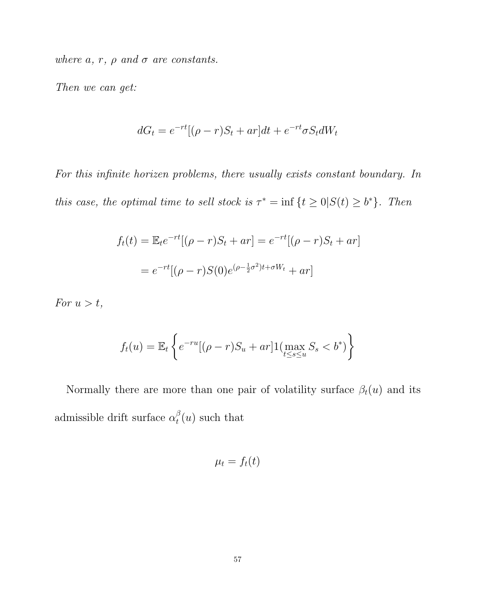where  $a, r, \rho$  and  $\sigma$  are constants.

Then we can get:

$$
dG_t = e^{-rt}[(\rho - r)S_t + ar]dt + e^{-rt}\sigma S_t dW_t
$$

For this infinite horizen problems, there usually exists constant boundary. In this case, the optimal time to sell stock is  $\tau^* = \inf \{ t \geq 0 | S(t) \geq b^* \}.$  Then

$$
f_t(t) = \mathbb{E}_t e^{-rt} [(\rho - r)S_t + ar] = e^{-rt} [(\rho - r)S_t + ar]
$$
  
=  $e^{-rt} [(\rho - r)S(0)e^{(\rho - \frac{1}{2}\sigma^2)t + \sigma W_t} + ar]$ 

For  $u > t$ ,

$$
f_t(u) = \mathbb{E}_t \left\{ e^{-ru} [(\rho - r)S_u + ar] \mathbb{1} (\max_{t \le s \le u} S_s < b^*) \right\}
$$

Normally there are more than one pair of volatility surface  $\beta_t(u)$  and its admissible drift surface  $\alpha_t^{\beta}$  $t<sup>\beta</sup>(u)$  such that

$$
\mu_t = f_t(t)
$$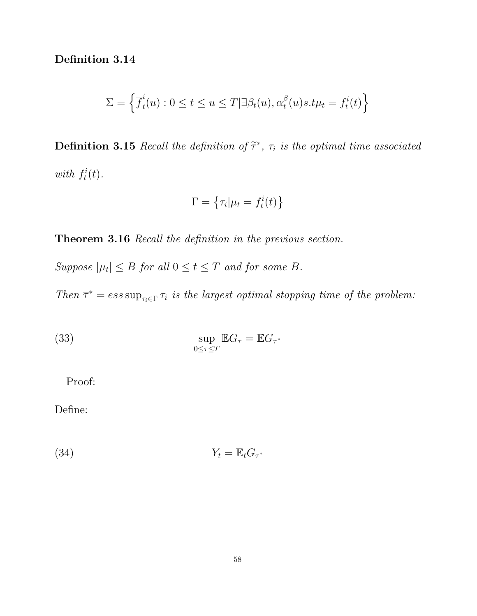Definition 3.14

$$
\Sigma = \left\{ \overline{f}_t^i(u) : 0 \le t \le u \le T | \exists \beta_t(u), \alpha_t^{\beta}(u)s.t\mu_t = f_t^i(t) \right\}
$$

**Definition 3.15** Recall the definition of  $\tilde{\tau}^*$ ,  $\tau_i$  is the optimal time associated with  $f_t^i$  $t^i(t)$ .

$$
\Gamma = \left\{ \tau_i | \mu_t = f_t^i(t) \right\}
$$

Theorem 3.16 Recall the definition in the previous section.

Suppose  $|\mu_t| \leq B$  for all  $0 \leq t \leq T$  and for some B.

Then  $\bar{\tau}^* = ess \sup_{\tau_i \in \Gamma} \tau_i$  is the largest optimal stopping time of the problem:

(33) 
$$
\sup_{0 \le \tau \le T} \mathbb{E} G_{\tau} = \mathbb{E} G_{\overline{\tau}}.
$$

Proof:

Define:

$$
Y_t = \mathbb{E}_t G_{\overline{\tau}^*}
$$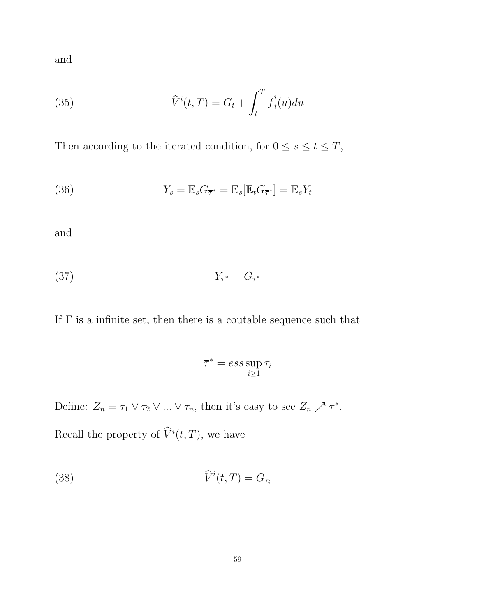and

(35) 
$$
\widehat{V}^{i}(t,T) = G_{t} + \int_{t}^{T} \overline{f}_{t}^{i}(u) du
$$

Then according to the iterated condition, for  $0 \leq s \leq t \leq T$ ,

(36) 
$$
Y_s = \mathbb{E}_s G_{\overline{\tau}^*} = \mathbb{E}_s [\mathbb{E}_t G_{\overline{\tau}^*}] = \mathbb{E}_s Y_t
$$

and

$$
Y_{\overline{\tau}^*} = G_{\overline{\tau}^*}
$$

If  $\Gamma$  is a infinite set, then there is a coutable sequence such that

$$
\overline{\tau}^* = ess \sup_{i \ge 1} \tau_i
$$

Define:  $Z_n = \tau_1 \vee \tau_2 \vee \dots \vee \tau_n$ , then it's easy to see  $Z_n \nearrow \overline{\tau}^*$ .

Recall the property of  $\widehat{V}^i(t,T)$ , we have

(38) 
$$
\widehat{V}^i(t,T) = G_{\tau_i}
$$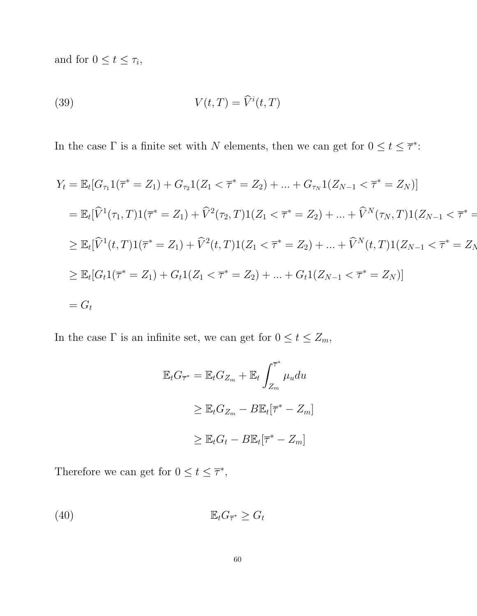and for  $0 \le t \le \tau_i$ ,

(39) 
$$
V(t,T) = \widehat{V}^i(t,T)
$$

In the case  $\Gamma$  is a finite set with N elements, then we can get for  $0 \le t \le \overline{\tau}^*$ :

$$
Y_t = \mathbb{E}_t[G_{\tau_1}1(\overline{\tau}^* = Z_1) + G_{\tau_2}1(Z_1 < \overline{\tau}^* = Z_2) + \dots + G_{\tau_N}1(Z_{N-1} < \overline{\tau}^* = Z_N)]
$$
  
\n
$$
= \mathbb{E}_t[\widehat{V}^1(\tau_1, T)1(\overline{\tau}^* = Z_1) + \widehat{V}^2(\tau_2, T)1(Z_1 < \overline{\tau}^* = Z_2) + \dots + \widehat{V}^N(\tau_N, T)1(Z_{N-1} < \overline{\tau}^* = \ge \mathbb{E}_t[\widehat{V}^1(t, T)1(\overline{\tau}^* = Z_1) + \widehat{V}^2(t, T)1(Z_1 < \overline{\tau}^* = Z_2) + \dots + \widehat{V}^N(t, T)1(Z_{N-1} < \overline{\tau}^* = Z_N \ge \mathbb{E}_t[G_t1(\overline{\tau}^* = Z_1) + G_t1(Z_1 < \overline{\tau}^* = Z_2) + \dots + G_t1(Z_{N-1} < \overline{\tau}^* = Z_N)]
$$
  
\n
$$
= G_t
$$

In the case  $\Gamma$  is an infinite set, we can get for  $0 \le t \le Z_m$ ,

$$
\mathbb{E}_t G_{\overline{\tau}^*} = \mathbb{E}_t G_{Z_m} + \mathbb{E}_t \int_{Z_m}^{\overline{\tau}^*} \mu_u du
$$
  
\n
$$
\geq \mathbb{E}_t G_{Z_m} - B \mathbb{E}_t [\overline{\tau}^* - Z_m]
$$
  
\n
$$
\geq \mathbb{E}_t G_t - B \mathbb{E}_t [\overline{\tau}^* - Z_m]
$$

Therefore we can get for  $0 \le t \le \overline{\tau}^*$ ,

(40) EtG<sup>τ</sup> <sup>∗</sup> ≥ G<sup>t</sup>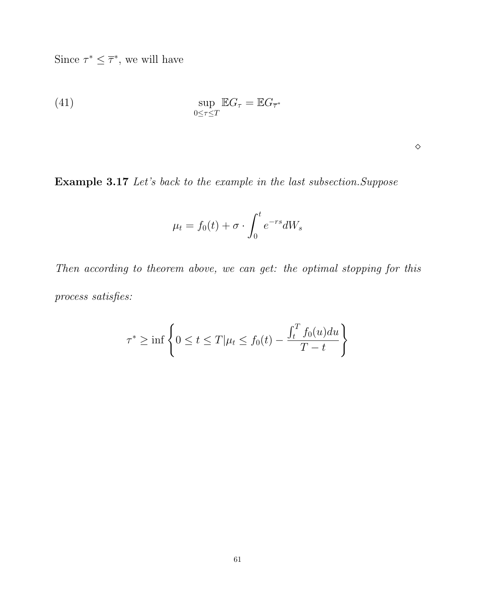Since  $\tau^* \leq \overline{\tau}^*$ , we will have

(41) 
$$
\sup_{0 \le \tau \le T} \mathbb{E} G_{\tau} = \mathbb{E} G_{\overline{\tau}^*}
$$

 $\Diamond$ 

Example 3.17 Let's back to the example in the last subsection.Suppose

$$
\mu_t = f_0(t) + \sigma \cdot \int_0^t e^{-rs} dW_s
$$

Then according to theorem above, we can get: the optimal stopping for this process satisfies:

$$
\tau^* \ge \inf \left\{ 0 \le t \le T | \mu_t \le f_0(t) - \frac{\int_t^T f_0(u) du}{T - t} \right\}
$$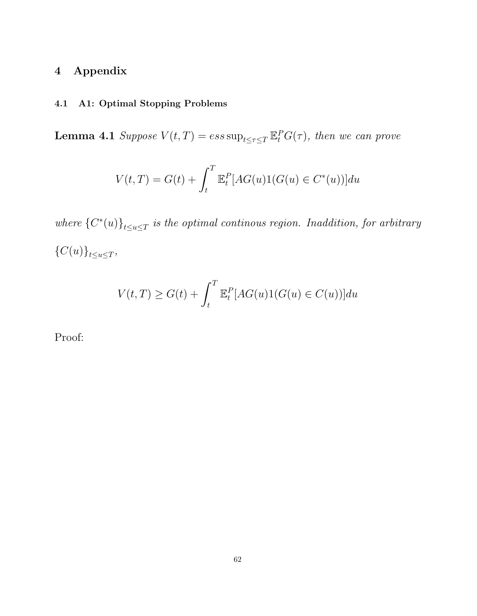# 4 Appendix

# 4.1 A1: Optimal Stopping Problems

**Lemma 4.1** Suppose  $V(t,T) = ess \sup_{t \leq \tau \leq T} \mathbb{E}_t^P G(\tau)$ , then we can prove

$$
V(t,T) = G(t) + \int_{t}^{T} \mathbb{E}_{t}^{P}[AG(u)1(G(u) \in C^{*}(u))]du
$$

where  ${C^*(u)}_{t \le u \le T}$  is the optimal continous region. Inaddition, for arbitrary  ${C(u)}_{t \le u \le T},$ 

$$
V(t,T) \ge G(t) + \int_t^T \mathbb{E}_t^P[AG(u)1(G(u) \in C(u))]du
$$

Proof: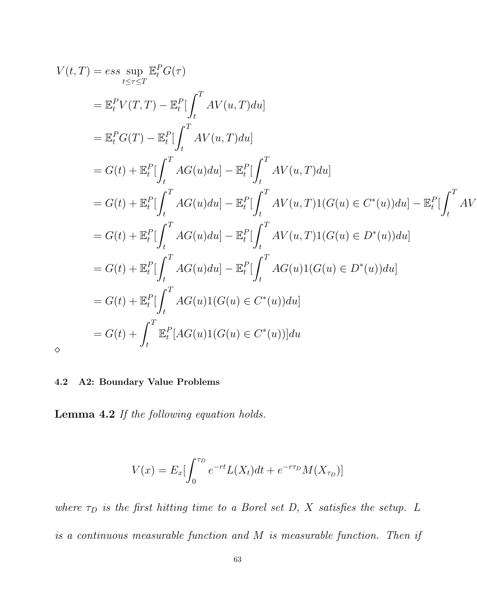$$
V(t,T) = ess \sup_{t \leq \tau \leq T} \mathbb{E}_{t}^{P} G(\tau)
$$
  
\n
$$
= \mathbb{E}_{t}^{P} V(T,T) - \mathbb{E}_{t}^{P} \left[ \int_{t}^{T} AV(u,T) du \right]
$$
  
\n
$$
= \mathbb{E}_{t}^{P} G(T) - \mathbb{E}_{t}^{P} \left[ \int_{t}^{T} AV(u,T) du \right]
$$
  
\n
$$
= G(t) + \mathbb{E}_{t}^{P} \left[ \int_{t}^{T} AG(u) du \right] - \mathbb{E}_{t}^{P} \left[ \int_{t}^{T} AV(u,T) du \right]
$$
  
\n
$$
= G(t) + \mathbb{E}_{t}^{P} \left[ \int_{t}^{T} AG(u) du \right] - \mathbb{E}_{t}^{P} \left[ \int_{t}^{T} AV(u,T) 1(G(u) \in C^{*}(u)) du \right] - \mathbb{E}_{t}^{P} \left[ \int_{t}^{T} AV(u,T) 1(G(u) \in C^{*}(u)) du \right]
$$
  
\n
$$
= G(t) + \mathbb{E}_{t}^{P} \left[ \int_{t}^{T} AG(u) du \right] - \mathbb{E}_{t}^{P} \left[ \int_{t}^{T} AG(u) 1(G(u) \in D^{*}(u)) du \right]
$$
  
\n
$$
= G(t) + \mathbb{E}_{t}^{P} \left[ \int_{t}^{T} AG(u) 1(G(u) \in C^{*}(u)) du \right]
$$
  
\n
$$
= G(t) + \mathbb{E}_{t}^{P} \left[ \int_{t}^{T} AG(u) 1(G(u) \in C^{*}(u)) du \right]
$$
  
\n
$$
= G(t) + \int_{t}^{T} \mathbb{E}_{t}^{P} [AG(u) 1(G(u) \in C^{*}(u))] du
$$

 $\langle$ 

# 4.2 A2: Boundary Value Problems

Lemma 4.2 If the following equation holds.

$$
V(x) = E_x \left[ \int_0^{\tau_D} e^{-rt} L(X_t) dt + e^{-r\tau_D} M(X_{\tau_D}) \right]
$$

where  $\tau_D$  is the first hitting time to a Borel set D, X satisfies the setup. L is a continuous measurable function and M is measurable function. Then if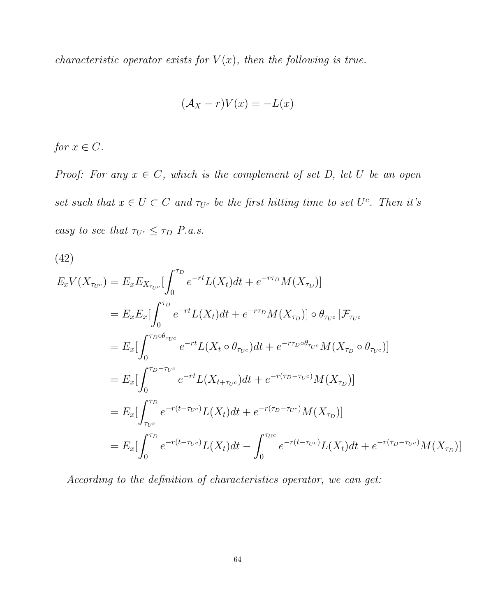characteristic operator exists for  $V(x)$ , then the following is true.

$$
(\mathcal{A}_X - r)V(x) = -L(x)
$$

for  $x \in C$ .

Proof: For any  $x \in C$ , which is the complement of set D, let U be an open set such that  $x \in U \subset C$  and  $\tau_{U^c}$  be the first hitting time to set  $U^c$ . Then it's easy to see that  $\tau_{U^c} \leq \tau_D$  *P.a.s.* 

(42)

$$
E_x V(X_{\tau_{U^c}}) = E_x E_{X_{\tau_{U^c}}} \left[ \int_0^{\tau_D} e^{-rt} L(X_t) dt + e^{-r\tau_D} M(X_{\tau_D}) \right]
$$
  
\n
$$
= E_x E_x \left[ \int_0^{\tau_D} e^{-rt} L(X_t) dt + e^{-r\tau_D} M(X_{\tau_D}) \right] \circ \theta_{\tau_{U^c}} \left[ \mathcal{F}_{\tau_{U^c}} \right]
$$
  
\n
$$
= E_x \left[ \int_0^{\tau_D \circ \theta_{\tau_{U^c}}} e^{-rt} L(X_t \circ \theta_{\tau_{U^c}}) dt + e^{-r\tau_D \circ \theta_{\tau_{U^c}}} M(X_{\tau_D} \circ \theta_{\tau_{U^c}}) \right]
$$
  
\n
$$
= E_x \left[ \int_0^{\tau_D - \tau_{U^c}} e^{-rt} L(X_{t + \tau_{U^c}}) dt + e^{-r(\tau_D - \tau_{U^c})} M(X_{\tau_D}) \right]
$$
  
\n
$$
= E_x \left[ \int_{\tau_{U^c}}^{\tau_D} e^{-r(t - \tau_{U^c})} L(X_t) dt + e^{-r(\tau_D - \tau_{U^c})} M(X_{\tau_D}) \right]
$$
  
\n
$$
= E_x \left[ \int_0^{\tau_D} e^{-r(t - \tau_{U^c})} L(X_t) dt - \int_0^{\tau_{U^c}} e^{-r(t - \tau_{U^c})} L(X_t) dt + e^{-r(\tau_D - \tau_{U^c})} M(X_{\tau_D}) \right]
$$

According to the definition of characteristics operator, we can get: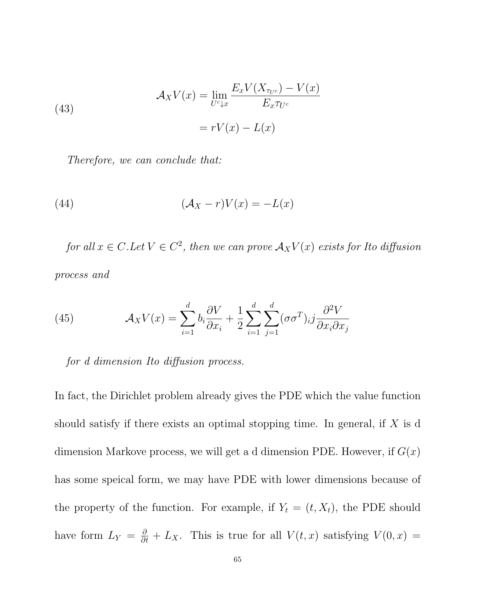(43)  
\n
$$
\mathcal{A}_X V(x) = \lim_{U^c \downarrow x} \frac{E_x V(X_{\tau_{U^c}}) - V(x)}{E_x \tau_{U^c}}
$$
\n
$$
= rV(x) - L(x)
$$

Therefore, we can conclude that:

(44) 
$$
(\mathcal{A}_X - r)V(x) = -L(x)
$$

for all  $x \in C$ . Let  $V \in C^2$ , then we can prove  $\mathcal{A}_X V(x)$  exists for Ito diffusion process and

(45) 
$$
\mathcal{A}_X V(x) = \sum_{i=1}^d b_i \frac{\partial V}{\partial x_i} + \frac{1}{2} \sum_{i=1}^d \sum_{j=1}^d (\sigma \sigma^T)_{ij} \frac{\partial^2 V}{\partial x_i \partial x_j}
$$

for d dimension Ito diffusion process.

In fact, the Dirichlet problem already gives the PDE which the value function should satisfy if there exists an optimal stopping time. In general, if  $X$  is d dimension Markove process, we will get a d dimension PDE. However, if  $G(x)$ has some speical form, we may have PDE with lower dimensions because of the property of the function. For example, if  $Y_t = (t, X_t)$ , the PDE should have form  $L_Y = \frac{\partial}{\partial t} + L_X$ . This is true for all  $V(t, x)$  satisfying  $V(0, x) =$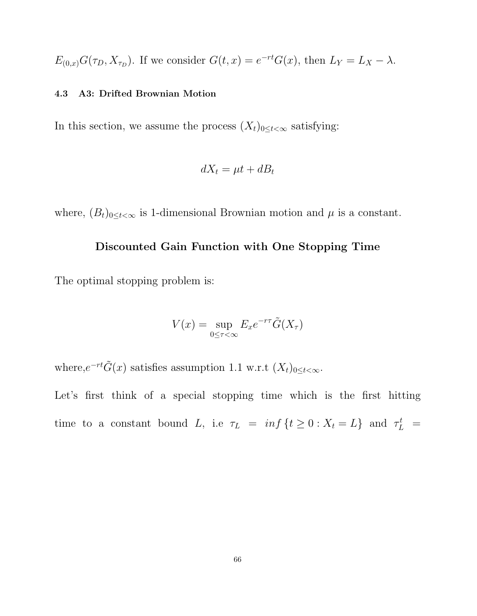$E_{(0,x)}G(\tau_D, X_{\tau_D})$ . If we consider  $G(t,x) = e^{-rt}G(x)$ , then  $L_Y = L_X - \lambda$ .

### 4.3 A3: Drifted Brownian Motion

In this section, we assume the process  $(X_t)_{0 \leq t < \infty}$  satisfying:

$$
dX_t = \mu t + dB_t
$$

where,  $(B_t)_{0 \leq t < \infty}$  is 1-dimensional Brownian motion and  $\mu$  is a constant.

## Discounted Gain Function with One Stopping Time

The optimal stopping problem is:

$$
V(x) = \sup_{0 \le \tau < \infty} E_x e^{-r\tau} \tilde{G}(X_\tau)
$$

where, $e^{-rt}\tilde{G}(x)$  satisfies assumption 1.1 w.r.t  $(X_t)_{0 \leq t < \infty}$ .

Let's first think of a special stopping time which is the first hitting time to a constant bound L, i.e  $\tau_L = inf\{t \geq 0 : X_t = L\}$  and  $\tau_L^t =$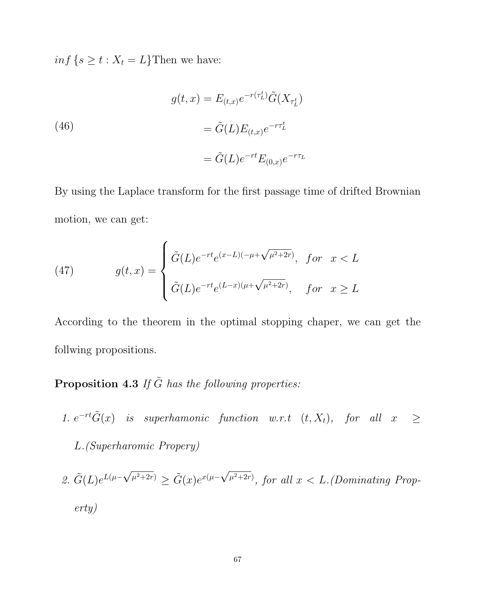$inf\{s \geq t : X_t = L\}$ Then we have:

(46)  
\n
$$
g(t,x) = E_{(t,x)}e^{-r(\tau_L^t)}\tilde{G}(X_{\tau_L^t})
$$
\n
$$
= \tilde{G}(L)E_{(t,x)}e^{-r\tau_L^t}
$$
\n
$$
= \tilde{G}(L)e^{-rt}E_{(0,x)}e^{-r\tau_L}
$$

By using the Laplace transform for the first passage time of drifted Brownian motion, we can get:

(47) 
$$
g(t,x) = \begin{cases} \tilde{G}(L)e^{-rt}e^{(x-L)(-\mu+\sqrt{\mu^2+2r})}, & \text{for } x < L \\ \tilde{G}(L)e^{-rt}e^{(L-x)(\mu+\sqrt{\mu^2+2r})}, & \text{for } x \ge L \end{cases}
$$

According to the theorem in the optimal stopping chaper, we can get the follwing propositions.

# **Proposition 4.3** If  $\tilde{G}$  has the following properties:

- 1.  $e^{-rt}\tilde{G}(x)$  is superhamonic function w.r.t  $(t, X_t)$ , for all  $x \geq$ L.(Superharomic Propery)
- 2.  $\tilde{G}(L)e^{L(\mu \frac{1}{2})}$ √  $\tilde{\mu}^{2+2r)} \geq \tilde{G}(x)e^{x(\mu - \tau)}$ √  $\mu^{2+2r}$ , for all  $x < L$ . (Dominating Property)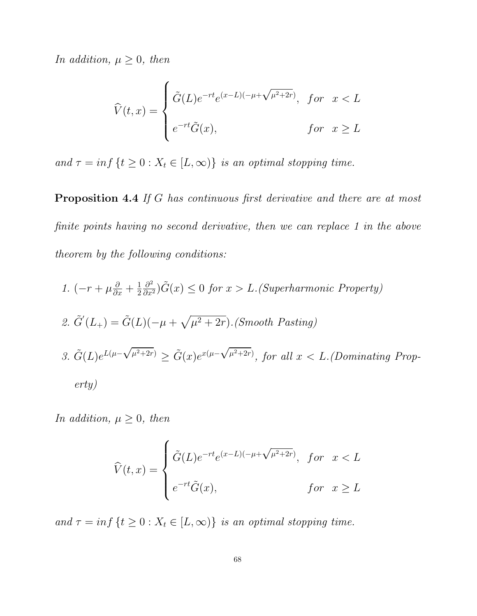In addition,  $\mu \geq 0$ , then

$$
\widehat{V}(t,x) = \begin{cases}\n\tilde{G}(L)e^{-rt}e^{(x-L)(-\mu+\sqrt{\mu^2+2r})}, & \text{for } x < L \\
e^{-rt}\tilde{G}(x), & \text{for } x \ge L\n\end{cases}
$$

and  $\tau = \inf \{ t \ge 0 : X_t \in [L, \infty) \}$  is an optimal stopping time.

Proposition 4.4 If G has continuous first derivative and there are at most finite points having no second derivative, then we can replace 1 in the above theorem by the following conditions:

\n- 1. 
$$
(-r + \mu \frac{\partial}{\partial x} + \frac{1}{2} \frac{\partial^2}{\partial x^2})\tilde{G}(x) \leq 0
$$
 for  $x > L$ . (Superharmonic Property)
\n- 2.  $\tilde{G}'(L_+) = \tilde{G}(L)(-\mu + \sqrt{\mu^2 + 2r})$ . (Smooth Pasting)
\n- 3.  $\tilde{G}(L)e^{L(\mu - \sqrt{\mu^2 + 2r})} \geq \tilde{G}(x)e^{x(\mu - \sqrt{\mu^2 + 2r})}$ , for all  $x < L$ . (Dominating Property)
\n- erty)
\n

In addition,  $\mu \geq 0$ , then

$$
\widehat{V}(t,x) = \begin{cases}\n\tilde{G}(L)e^{-rt}e^{(x-L)(-\mu+\sqrt{\mu^2+2r})}, & \text{for } x < L \\
e^{-rt}\tilde{G}(x), & \text{for } x \ge L\n\end{cases}
$$

and  $\tau = \inf \{ t \geq 0 : X_t \in [L, \infty) \}$  is an optimal stopping time.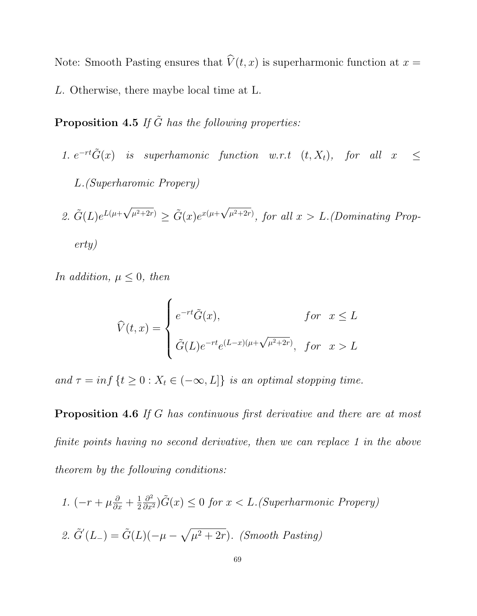Note: Smooth Pasting ensures that  $\hat{V}(t, x)$  is superharmonic function at  $x =$ L. Otherwise, there maybe local time at L.

**Proposition 4.5** If  $\tilde{G}$  has the following properties:

- 1.  $e^{-rt}\tilde{G}(x)$  is superhamonic function w.r.t  $(t, X_t)$ , for all  $x \leq$ L.(Superharomic Propery)
- 2.  $\tilde{G}(L)e^{L(\mu+\mu)}$ √  $\tilde{\mu}^{2+2r)} \geq \tilde{G}(x)e^{x(\mu+r)}$ √  $\mu^{2+2r}$ , for all  $x > L$ . (Dominating Property)

In addition,  $\mu \leq 0$ , then

$$
\widehat{V}(t,x) = \begin{cases}\ne^{-rt}\tilde{G}(x), & \text{for } x \le L \\
\tilde{G}(L)e^{-rt}e^{(L-x)(\mu+\sqrt{\mu^2+2r})}, & \text{for } x > L\n\end{cases}
$$

and  $\tau = \inf \{ t \geq 0 : X_t \in (-\infty, L] \}$  is an optimal stopping time.

Proposition 4.6 If G has continuous first derivative and there are at most finite points having no second derivative, then we can replace 1 in the above theorem by the following conditions:

1.  $\left(-r+\mu\frac{\partial}{\partial x}+\frac{1}{2}\right)$ 2  $\frac{\partial^2}{\partial x^2}$ ) $\tilde{G}(x) \leq 0$  for  $x < L$ . (Superharmonic Propery) 2.  $\tilde{G}'(L_{-}) = \tilde{G}(L)(-\mu - \sqrt{\mu^2 + 2r}).$  (Smooth Pasting)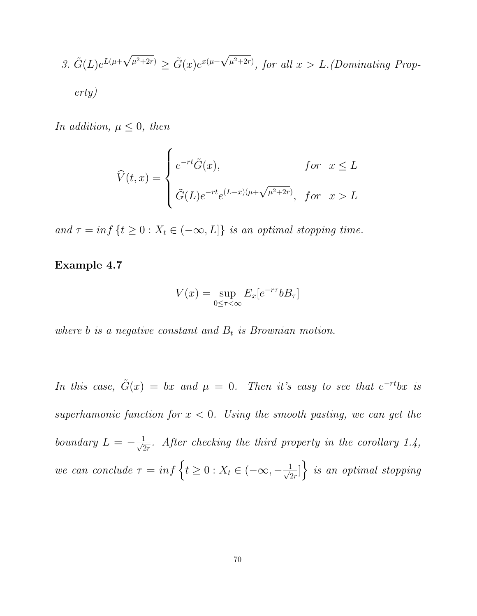3. 
$$
\tilde{G}(L)e^{L(\mu+\sqrt{\mu^2+2r})} \ge \tilde{G}(x)e^{x(\mu+\sqrt{\mu^2+2r})}
$$
, for all  $x > L$ . (Dominating Prop-  
erty)

In addition,  $\mu \leq 0$ , then

$$
\widehat{V}(t,x) = \begin{cases}\ne^{-rt}\tilde{G}(x), & \text{for } x \le L \\
\tilde{G}(L)e^{-rt}e^{(L-x)(\mu+\sqrt{\mu^2+2r})}, & \text{for } x > L\n\end{cases}
$$

and  $\tau = \inf \{ t \geq 0 : X_t \in (-\infty, L] \}$  is an optimal stopping time.

Example 4.7

$$
V(x) = \sup_{0 \le \tau < \infty} E_x[e^{-r\tau}bB_\tau]
$$

where  $b$  is a negative constant and  $B_t$  is Brownian motion.

In this case,  $\tilde{G}(x) = bx$  and  $\mu = 0$ . Then it's easy to see that  $e^{-rt}bx$  is superhamonic function for  $x < 0$ . Using the smooth pasting, we can get the boundary  $L = -\frac{1}{\sqrt{6}}$  $\frac{1}{2r}$ . After checking the third property in the corollary 1.4, we can conclude  $\tau = \inf \left\{ t \geq 0 : X_t \in (-\infty, -\frac{1}{\sqrt{2}} \right\}$  $\left\{\frac{1}{2r}\right\}$  is an optimal stopping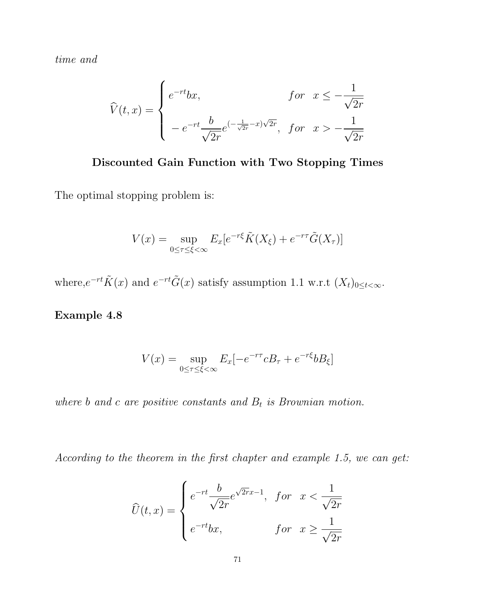time and

$$
\widehat{V}(t,x) = \begin{cases}\ne^{-rt}bx, & \text{for } x \le -\frac{1}{\sqrt{2r}} \\
-e^{-rt}\frac{b}{\sqrt{2r}}e^{(-\frac{1}{\sqrt{2r}}-x)\sqrt{2r}}, & \text{for } x > -\frac{1}{\sqrt{2r}}\n\end{cases}
$$

# Discounted Gain Function with Two Stopping Times

The optimal stopping problem is:

$$
V(x) = \sup_{0 \le \tau \le \xi < \infty} E_x[e^{-r\xi} \tilde{K}(X_\xi) + e^{-r\tau} \tilde{G}(X_\tau)]
$$

where, $e^{-rt}\tilde{K}(x)$  and  $e^{-rt}\tilde{G}(x)$  satisfy assumption 1.1 w.r.t  $(X_t)_{0 \leq t < \infty}$ .

# Example 4.8

$$
V(x) = \sup_{0 \le \tau \le \xi < \infty} E_x[-e^{-r\tau}cB_\tau + e^{-r\xi}bB_\xi]
$$

where  $b$  and  $c$  are positive constants and  $B_t$  is Brownian motion.

According to the theorem in the first chapter and example 1.5, we can get:

$$
\widehat{U}(t,x) = \begin{cases}\ne^{-rt} \frac{b}{\sqrt{2r}} e^{\sqrt{2r}x-1}, & \text{for } x < \frac{1}{\sqrt{2r}} \\
e^{-rt}bx, & \text{for } x \ge \frac{1}{\sqrt{2r}}\n\end{cases}
$$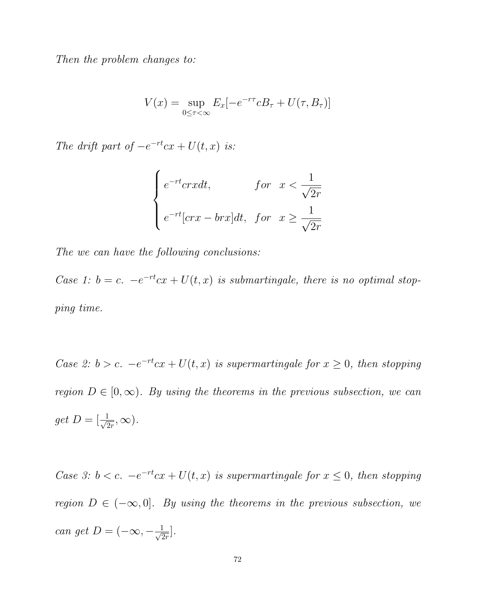Then the problem changes to:

$$
V(x) = \sup_{0 \le \tau < \infty} E_x[-e^{-r\tau}cB_\tau + U(\tau, B_\tau)]
$$

The drift part of  $-e^{-rt}cx + U(t, x)$  is:

$$
\begin{cases}\ne^{-rt}cr \text{ and } \\ e^{-rt}[cr \text{ or } \\ x \ge \frac{1}{\sqrt{2r}}\n\end{cases}
$$

The we can have the following conclusions:

Case 1:  $b = c$ .  $-e^{-rt}cx + U(t, x)$  is submartingale, there is no optimal stopping time.

Case 2:  $b > c$ .  $-e^{-rt}cx + U(t, x)$  is supermartingale for  $x \ge 0$ , then stopping region  $D \in [0, \infty)$ . By using the theorems in the previous subsection, we can  $get D = \left\lfloor \frac{1}{\sqrt{c}} \right\rfloor$  $\frac{1}{2r},\infty$ ).

Case 3:  $b < c$ .  $-e^{-rt}cx + U(t, x)$  is supermartingale for  $x \le 0$ , then stopping region  $D \in (-\infty, 0]$ . By using the theorems in the previous subsection, we can get  $D = (-\infty, -\frac{1}{\sqrt{c}})$  $\frac{1}{2r}$ .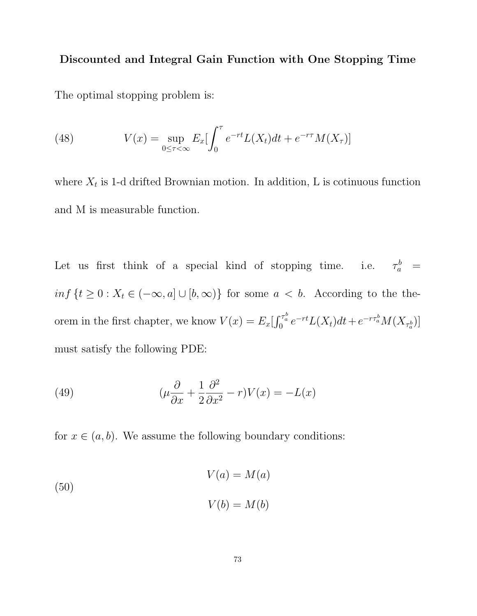## Discounted and Integral Gain Function with One Stopping Time

The optimal stopping problem is:

(48) 
$$
V(x) = \sup_{0 \le \tau < \infty} E_x \left[ \int_0^{\tau} e^{-rt} L(X_t) dt + e^{-r\tau} M(X_{\tau}) \right]
$$

where  $X_t$  is 1-d drifted Brownian motion. In addition, L is cotinuous function and M is measurable function.

Let us first think of a special kind of stopping time.  $\frac{b}{a} =$  $inf\{t\geq 0: X_t \in (-\infty, a] \cup [b, \infty)\}\)$  for some  $a < b$ . According to the theorem in the first chapter, we know  $V(x) = E_x \left[ \int_0^{\tau_a^b} e^{-rt} L(X_t) dt + e^{-r\tau_a^b} M(X_{\tau_a^b}) \right]$ must satisfy the following PDE:

(49) 
$$
(\mu \frac{\partial}{\partial x} + \frac{1}{2} \frac{\partial^2}{\partial x^2} - r)V(x) = -L(x)
$$

for  $x \in (a, b)$ . We assume the following boundary conditions:

(50)  

$$
V(a) = M(a)
$$

$$
V(b) = M(b)
$$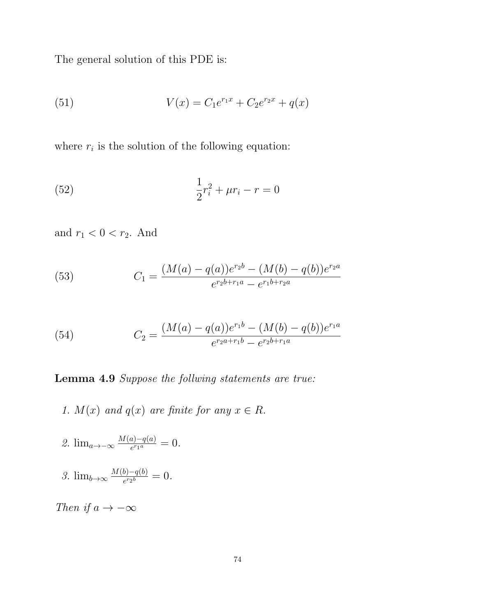The general solution of this PDE is:

(51) 
$$
V(x) = C_1 e^{r_1 x} + C_2 e^{r_2 x} + q(x)
$$

where  $r_i$  is the solution of the following equation:

(52) 
$$
\frac{1}{2}r_i^2 + \mu r_i - r = 0
$$

and  $r_1 < 0 < r_2$ . And

(53) 
$$
C_1 = \frac{(M(a) - q(a))e^{r_2 b} - (M(b) - q(b))e^{r_2 a}}{e^{r_2 b + r_1 a} - e^{r_1 b + r_2 a}}
$$

(54) 
$$
C_2 = \frac{(M(a) - q(a))e^{r_1b} - (M(b) - q(b))e^{r_1a}}{e^{r_2a + r_1b} - e^{r_2b + r_1a}}
$$

Lemma 4.9 Suppose the follwing statements are true:

- 1.  $M(x)$  and  $q(x)$  are finite for any  $x \in R$ .
- 2.  $\lim_{a \to -\infty} \frac{M(a)-q(a)}{e^{r_1 a}}$  $\frac{a)-q(a)}{e^{r_1 a}}=0.$
- 3.  $\lim_{b\to\infty}\frac{M(b)-q(b)}{e^{r_2b}}$  $\frac{b)-q(b)}{e^{r_2b}}=0.$

Then if  $a \to -\infty$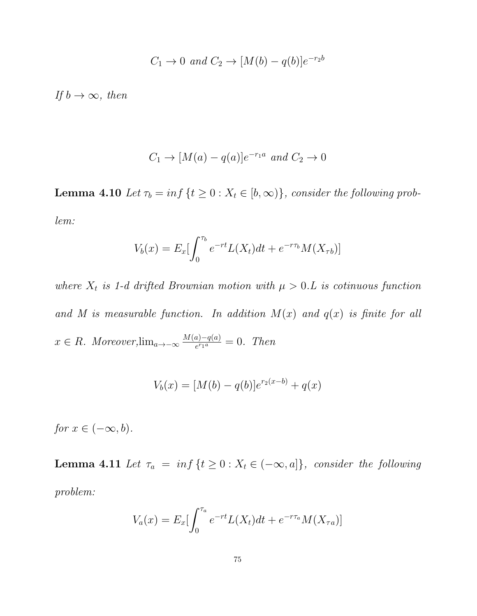$$
C_1 \to 0 \text{ and } C_2 \to [M(b) - q(b)]e^{-r_2b}
$$

If  $b \to \infty$ , then

$$
C_1 \to [M(a) - q(a)]e^{-r_1a} \text{ and } C_2 \to 0
$$

**Lemma 4.10** Let  $\tau_b = \inf \{ t \geq 0 : X_t \in [b, \infty) \}$ , consider the following problem:

$$
V_b(x) = E_x \left[ \int_0^{\tau_b} e^{-rt} L(X_t) dt + e^{-r\tau_b} M(X_{\tau b}) \right]
$$

where  $X_t$  is 1-d drifted Brownian motion with  $\mu > 0.L$  is cotinuous function and M is measurable function. In addition  $M(x)$  and  $q(x)$  is finite for all  $x \in R$ . Moreover, $\lim_{a \to -\infty} \frac{M(a) - q(a)}{e^{r_1 a}}$  $\frac{a_1 - q(a)}{e^{r_1 a}} = 0$ . Then

$$
V_b(x) = [M(b) - q(b)]e^{r_2(x-b)} + q(x)
$$

for  $x \in (-\infty, b)$ .

**Lemma 4.11** Let  $\tau_a = \inf \{ t \geq 0 : X_t \in (-\infty, a] \}$ , consider the following problem:

$$
V_a(x) = E_x \left[ \int_0^{\tau_a} e^{-rt} L(X_t) dt + e^{-r\tau_a} M(X_{\tau_a}) \right]
$$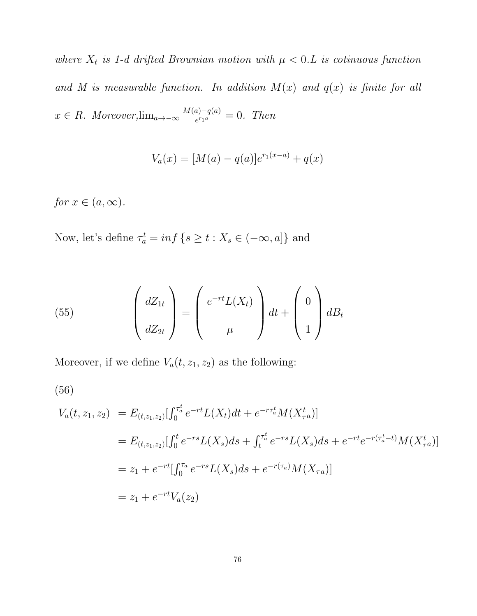where  $X_t$  is 1-d drifted Brownian motion with  $\mu < 0.L$  is cotinuous function and M is measurable function. In addition  $M(x)$  and  $q(x)$  is finite for all  $x \in R$ . Moreover, $\lim_{a \to -\infty} \frac{M(a) - q(a)}{e^{r_1 a}}$  $\frac{a_0 - q(a)}{e^{r_1 a}} = 0$ . Then

$$
V_a(x) = [M(a) - q(a)]e^{r_1(x-a)} + q(x)
$$

for  $x \in (a, \infty)$ .

Now, let's define  $\tau_a^t = \inf \{ s \ge t : X_s \in (-\infty, a] \}$  and

(55) 
$$
\begin{pmatrix} dZ_{1t} \\ dZ_{2t} \end{pmatrix} = \begin{pmatrix} e^{-rt}L(X_t) \\ \mu \end{pmatrix} dt + \begin{pmatrix} 0 \\ 1 \end{pmatrix} dB_t
$$

Moreover, if we define  $V_a(t, z_1, z_2)$  as the following:

$$
(56)
$$

$$
V_a(t, z_1, z_2) = E_{(t, z_1, z_2)}[\int_0^{\tau_a^t} e^{-rt} L(X_t) dt + e^{-r\tau_a^t} M(X_{\tau a}^t)]
$$
  
\n
$$
= E_{(t, z_1, z_2)}[\int_0^t e^{-rs} L(X_s) ds + \int_t^{\tau_a^t} e^{-rs} L(X_s) ds + e^{-rt} e^{-r(\tau_a^t - t)} M(X_{\tau a}^t)]
$$
  
\n
$$
= z_1 + e^{-rt}[\int_0^{\tau_a} e^{-rs} L(X_s) ds + e^{-r(\tau_a)} M(X_{\tau a})]
$$
  
\n
$$
= z_1 + e^{-rt} V_a(z_2)
$$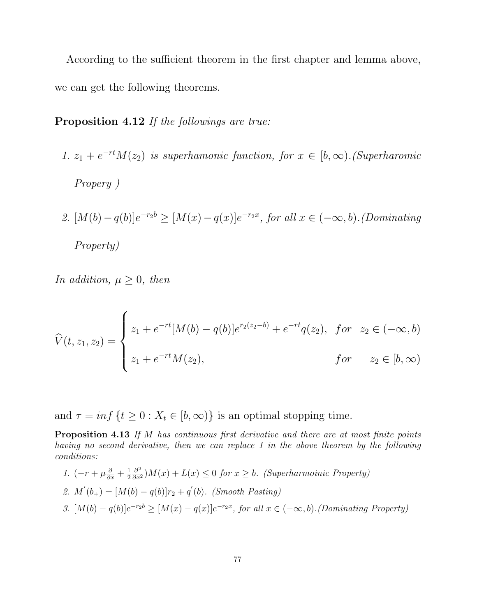According to the sufficient theorem in the first chapter and lemma above, we can get the following theorems.

# Proposition 4.12 If the followings are true:

- 1.  $z_1 + e^{-rt}M(z_2)$  is superhamonic function, for  $x \in [b, \infty)$ . (Superharomic Propery )
- 2.  $[M(b) q(b)]e^{-r_2b} \geq [M(x) q(x)]e^{-r_2x}$ , for all  $x \in (-\infty, b)$ . (Dominating Property)

In addition,  $\mu \geq 0$ , then

$$
\widehat{V}(t, z_1, z_2) = \begin{cases}\nz_1 + e^{-rt}[M(b) - q(b)]e^{r_2(z_2 - b)} + e^{-rt}q(z_2), & \text{for } z_2 \in (-\infty, b) \\
z_1 + e^{-rt}M(z_2), & \text{for } z_2 \in [b, \infty)\n\end{cases}
$$

and  $\tau = \inf \{ t \geq 0 : X_t \in [b, \infty) \}$  is an optimal stopping time.

Proposition 4.13 If M has continuous first derivative and there are at most finite points having no second derivative, then we can replace 1 in the above theorem by the following conditions:

\n- 1. 
$$
(-r + \mu \frac{\partial}{\partial x} + \frac{1}{2} \frac{\partial^2}{\partial x^2})M(x) + L(x) \leq 0
$$
 for  $x \geq b$ . (Superharmonic Property)
\n- 2.  $M'(b_+) = [M(b) - q(b)]r_2 + q'(b)$ . (Smooth Pasting)
\n- 3.  $[M(b) - q(b)]e^{-r_2b} \geq [M(x) - q(x)]e^{-r_2x}$ , for all  $x \in (-\infty, b)$ . (Dominating Property)
\n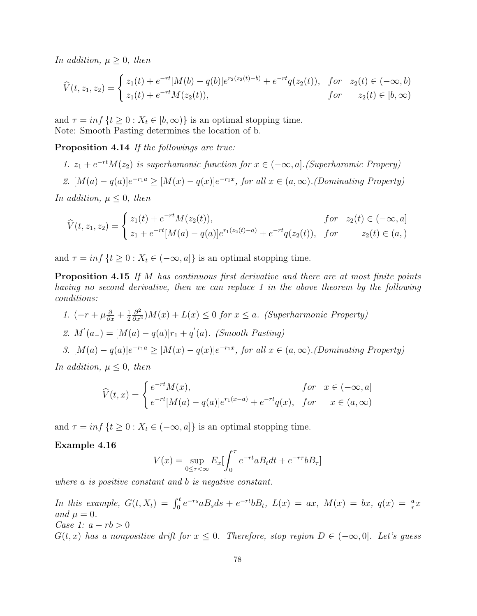In addition,  $\mu \geq 0$ , then

$$
\widehat{V}(t, z_1, z_2) = \begin{cases}\nz_1(t) + e^{-rt}[M(b) - q(b)]e^{r_2(z_2(t) - b)} + e^{-rt}q(z_2(t)), & \text{for} \quad z_2(t) \in (-\infty, b) \\
z_1(t) + e^{-rt}M(z_2(t)), & \text{for} \quad z_2(t) \in [b, \infty)\n\end{cases}
$$

and  $\tau = \inf \{ t \geq 0 : X_t \in [b, \infty) \}$  is an optimal stopping time. Note: Smooth Pasting determines the location of b.

Proposition 4.14 If the followings are true:

1.  $z_1 + e^{-rt}M(z_2)$  is superhamonic function for  $x \in (-\infty, a]$ . (Superharomic Propery)

2. 
$$
[M(a) - q(a)]e^{-r_1a} \geq [M(x) - q(x)]e^{-r_1x}
$$
, for all  $x \in (a, \infty)$ . (Dominating Property)

In addition,  $\mu \leq 0$ , then

$$
\widehat{V}(t, z_1, z_2) = \begin{cases}\nz_1(t) + e^{-rt} M(z_2(t)), & \text{for } z_2(t) \in (-\infty, a] \\
z_1 + e^{-rt} [M(a) - q(a)] e^{r_1(z_2(t) - a)} + e^{-rt} q(z_2(t)), & \text{for } z_2(t) \in (a, )\n\end{cases}
$$

and  $\tau = \inf \{ t \geq 0 : X_t \in (-\infty, a] \}$  is an optimal stopping time.

**Proposition 4.15** If M has continuous first derivative and there are at most finite points having no second derivative, then we can replace 1 in the above theorem by the following conditions:

- 1.  $\left(-r+\mu\frac{\partial}{\partial x}+\frac{1}{2}\right)$ 2  $\frac{\partial^2}{\partial x^2}$ ) $M(x) + L(x) \leq 0$  for  $x \leq a$ . (Superharmonic Property) 2.  $M'(a_{-}) = [M(a) - q(a)]r_1 + q'(a)$ . (Smooth Pasting)
- 3.  $[M(a) q(a)]e^{-r_1a} \geq [M(x) q(x)]e^{-r_1x}$ , for all  $x \in (a, \infty)$ . (Dominating Property)

In addition,  $\mu \leq 0$ , then

$$
\widehat{V}(t,x) = \begin{cases}\ne^{-rt} M(x), & \text{for } x \in (-\infty, a] \\
e^{-rt} [M(a) - q(a)]e^{r_1(x-a)} + e^{-rt}q(x), & \text{for } x \in (a, \infty)\n\end{cases}
$$

and  $\tau = \inf \{ t \geq 0 : X_t \in (-\infty, a] \}$  is an optimal stopping time.

#### Example 4.16

$$
V(x) = \sup_{0 \le \tau < \infty} E_x \left[ \int_0^\tau e^{-rt} a B_t dt + e^{-r\tau} b B_\tau \right]
$$

where a is positive constant and b is negative constant.

In this example,  $G(t, X_t) = \int_0^t e^{-rs} a B_s ds + e^{-rt} b B_t$ ,  $L(x) = ax$ ,  $M(x) = bx$ ,  $q(x) = \frac{a}{r}x$ and  $\mu = 0$ . Case 1:  $a - rb > 0$ 

 $G(t, x)$  has a nonpositive drift for  $x \leq 0$ . Therefore, stop region  $D \in (-\infty, 0]$ . Let's guess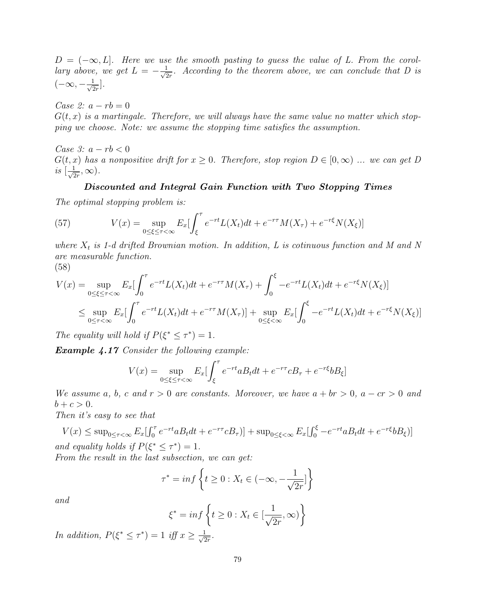$D = (-\infty, L]$ . Here we use the smooth pasting to guess the value of L. From the corollary above, we get  $L = -\frac{1}{\sqrt{2}}$  $\frac{1}{2r}$ . According to the theorem above, we can conclude that D is  $(-\infty, -\frac{1}{\sqrt{c}}]$  $\frac{1}{2r}$ .

Case 2:  $a - rb = 0$ 

 $G(t, x)$  is a martingale. Therefore, we will always have the same value no matter which stopping we choose. Note: we assume the stopping time satisfies the assumption.

Case 3:  $a - rb < 0$  $G(t, x)$  has a nonpositive drift for  $x \geq 0$ . Therefore, stop region  $D \in [0, \infty)$  ... we can get D is  $\left[\frac{1}{\sqrt{c}}\right]$  $\frac{1}{2r},\infty$ ).

#### Discounted and Integral Gain Function with Two Stopping Times

The optimal stopping problem is:

(57) 
$$
V(x) = \sup_{0 \le \xi \le \tau < \infty} E_x \left[ \int_{\xi}^{\tau} e^{-rt} L(X_t) dt + e^{-r\tau} M(X_{\tau}) + e^{-r\xi} N(X_{\xi}) \right]
$$

where  $X_t$  is 1-d drifted Brownian motion. In addition, L is cotinuous function and M and N are measurable function.

$$
(58)
$$

$$
V(x) = \sup_{0 \le \xi \le \tau < \infty} E_x \left[ \int_0^\tau e^{-rt} L(X_t) dt + e^{-r\tau} M(X_\tau) + \int_0^\xi -e^{-rt} L(X_t) dt + e^{-r\xi} N(X_\xi) \right]
$$
\n
$$
\le \sup_{0 \le \tau < \infty} E_x \left[ \int_0^\tau e^{-rt} L(X_t) dt + e^{-r\tau} M(X_\tau) \right] + \sup_{0 \le \xi < \infty} E_x \left[ \int_0^\xi -e^{-rt} L(X_t) dt + e^{-r\xi} N(X_\xi) \right]
$$

The equality will hold if  $P(\xi^* \leq \tau^*) = 1$ .

Example 4.17 Consider the following example:

$$
V(x) = \sup_{0 \le \xi \le \tau < \infty} E_x \left[ \int_{\xi}^{\tau} e^{-rt} a B_t dt + e^{-r\tau} c B_{\tau} + e^{-r\xi} b B_{\xi} \right]
$$

We assume a, b, c and  $r > 0$  are constants. Moreover, we have  $a + br > 0$ ,  $a - cr > 0$  and  $b + c > 0.$ 

Then it's easy to see that

 $V(x) \le \sup_{0 \le \tau < \infty} E_x \left[ \int_0^{\tau} e^{-rt} a B_t dt + e^{-r\tau} c B_{\tau} \right] + \sup_{0 \le \xi < \infty} E_x \left[ \int_0^{\xi} -e^{-rt} a B_t dt + e^{-r\xi} b B_{\xi} \right]$ and equality holds if  $P(\xi^* \leq \tau^*) = 1$ .

From the result in the last subsection, we can get:

$$
\tau^* = \inf \left\{ t \ge 0 : X_t \in (-\infty, -\frac{1}{\sqrt{2r}}] \right\}
$$

and

$$
\xi^* = \inf \left\{ t \ge 0 : X_t \in \left[ \frac{1}{\sqrt{2r}}, \infty \right) \right\}
$$

In addition,  $P(\xi^* \leq \tau^*) = 1$  iff  $x \geq \frac{1}{\sqrt{\epsilon}}$  $\frac{1}{2r}$ .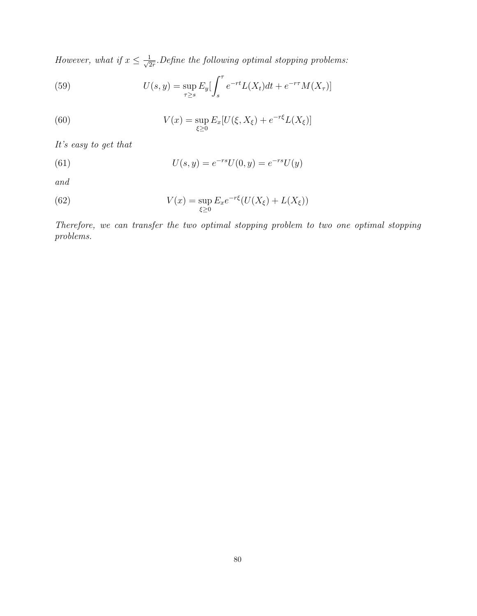However, what if  $x \leq \frac{1}{\sqrt{3}}$  $\frac{1}{2r}$ . Define the following optimal stopping problems:

(59) 
$$
U(s, y) = \sup_{\tau \ge s} E_y \left[ \int_s^{\tau} e^{-rt} L(X_t) dt + e^{-r\tau} M(X_{\tau}) \right]
$$

(60) 
$$
V(x) = \sup_{\xi \ge 0} E_x[U(\xi, X_{\xi}) + e^{-r\xi}L(X_{\xi})]
$$

It's easy to get that

(61) 
$$
U(s, y) = e^{-rs}U(0, y) = e^{-rs}U(y)
$$

and

(62) 
$$
V(x) = \sup_{\xi \ge 0} E_x e^{-r\xi} (U(X_{\xi}) + L(X_{\xi}))
$$

Therefore, we can transfer the two optimal stopping problem to two one optimal stopping problems.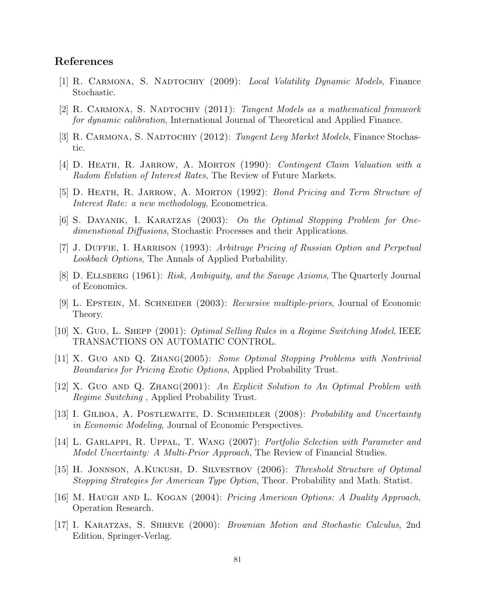### References

- [1] R. Carmona, S. Nadtochiy (2009): Local Volatility Dynamic Models, Finance Stochastic.
- [2] R. CARMONA, S. NADTOCHIY (2011): Tangent Models as a mathematical framwork for dynamic calibration, International Journal of Theoretical and Applied Finance.
- [3] R. CARMONA, S. NADTOCHIY (2012): Tangent Levy Market Models, Finance Stochastic.
- [4] D. Heath, R. Jarrow, A. Morton (1990): Contingent Claim Valuation with a Radom Evlution of Interest Rates, The Review of Future Markets.
- [5] D. HEATH, R. JARROW, A. MORTON (1992): Bond Pricing and Term Structure of Interest Rate: a new methodology, Econometrica.
- [6] S. Dayanik, I. Karatzas (2003): On the Optimal Stopping Problem for Onedimenstional Diffusions, Stochastic Processes and their Applications.
- [7] J. DUFFIE, I. HARRISON (1993): Arbitrage Pricing of Russian Option and Perpetual Lookback Options, The Annals of Applied Porbability.
- [8] D. Ellsberg (1961): Risk, Ambiguity, and the Savage Axioms, The Quarterly Journal of Economics.
- [9] L. Epstein, M. Schneider (2003): Recursive multiple-priors, Journal of Economic Theory.
- [10] X. Guo, L. Shepp (2001): Optimal Selling Rules in a Regime Switching Model, IEEE TRANSACTIONS ON AUTOMATIC CONTROL.
- [11] X. Guo and Q. Zhang(2005): Some Optimal Stopping Problems with Nontrivial Boundaries for Pricing Exotic Options, Applied Probability Trust.
- [12] X. Guo and Q. Zhang(2001): An Explicit Solution to An Optimal Problem with Regime Switching , Applied Probability Trust.
- [13] I. GILBOA, A. POSTLEWAITE, D. SCHMEIDLER (2008): Probability and Uncertainty in Economic Modeling, Journal of Economic Perspectives.
- [14] L. Garlappi, R. Uppal, T. Wang (2007): Portfolio Selection with Parameter and Model Uncertainty: A Multi-Prior Approach, The Review of Financial Studies.
- [15] H. Jonnson, A.Kukush, D. Silvestrov (2006): Threshold Structure of Optimal Stopping Strategies for American Type Option, Theor. Probability and Math. Statist.
- [16] M. Haugh and L. Kogan (2004): Pricing American Options: A Duality Approach, Operation Research.
- [17] I. Karatzas, S. Shreve (2000): Brownian Motion and Stochastic Calculus, 2nd Edition, Springer-Verlag.